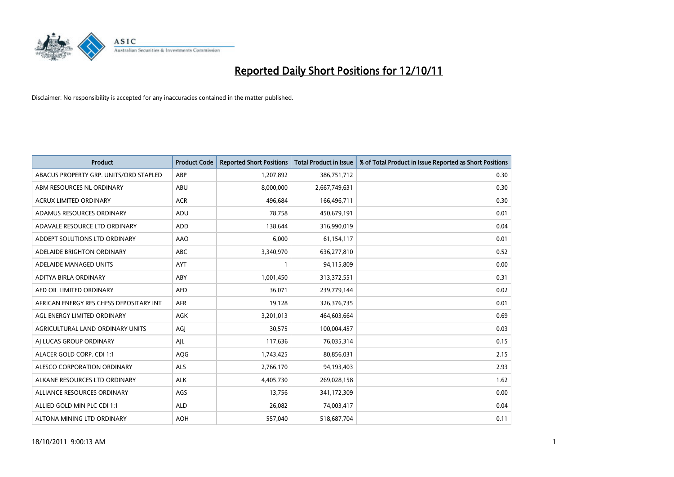

| <b>Product</b>                          | <b>Product Code</b> | <b>Reported Short Positions</b> | <b>Total Product in Issue</b> | % of Total Product in Issue Reported as Short Positions |
|-----------------------------------------|---------------------|---------------------------------|-------------------------------|---------------------------------------------------------|
| ABACUS PROPERTY GRP. UNITS/ORD STAPLED  | ABP                 | 1,207,892                       | 386,751,712                   | 0.30                                                    |
| ABM RESOURCES NL ORDINARY               | ABU                 | 8,000,000                       | 2,667,749,631                 | 0.30                                                    |
| <b>ACRUX LIMITED ORDINARY</b>           | <b>ACR</b>          | 496,684                         | 166,496,711                   | 0.30                                                    |
| ADAMUS RESOURCES ORDINARY               | ADU                 | 78,758                          | 450,679,191                   | 0.01                                                    |
| ADAVALE RESOURCE LTD ORDINARY           | ADD                 | 138,644                         | 316,990,019                   | 0.04                                                    |
| ADDEPT SOLUTIONS LTD ORDINARY           | AAO                 | 6,000                           | 61,154,117                    | 0.01                                                    |
| ADELAIDE BRIGHTON ORDINARY              | <b>ABC</b>          | 3,340,970                       | 636,277,810                   | 0.52                                                    |
| ADELAIDE MANAGED UNITS                  | AYT                 |                                 | 94,115,809                    | 0.00                                                    |
| ADITYA BIRLA ORDINARY                   | ABY                 | 1,001,450                       | 313,372,551                   | 0.31                                                    |
| AED OIL LIMITED ORDINARY                | <b>AED</b>          | 36.071                          | 239,779,144                   | 0.02                                                    |
| AFRICAN ENERGY RES CHESS DEPOSITARY INT | <b>AFR</b>          | 19,128                          | 326, 376, 735                 | 0.01                                                    |
| AGL ENERGY LIMITED ORDINARY             | AGK                 | 3,201,013                       | 464,603,664                   | 0.69                                                    |
| AGRICULTURAL LAND ORDINARY UNITS        | AGI                 | 30.575                          | 100,004,457                   | 0.03                                                    |
| AI LUCAS GROUP ORDINARY                 | AJL                 | 117,636                         | 76,035,314                    | 0.15                                                    |
| ALACER GOLD CORP. CDI 1:1               | AQG                 | 1,743,425                       | 80,856,031                    | 2.15                                                    |
| ALESCO CORPORATION ORDINARY             | <b>ALS</b>          | 2,766,170                       | 94,193,403                    | 2.93                                                    |
| ALKANE RESOURCES LTD ORDINARY           | <b>ALK</b>          | 4,405,730                       | 269,028,158                   | 1.62                                                    |
| ALLIANCE RESOURCES ORDINARY             | AGS                 | 13,756                          | 341,172,309                   | 0.00                                                    |
| ALLIED GOLD MIN PLC CDI 1:1             | <b>ALD</b>          | 26,082                          | 74,003,417                    | 0.04                                                    |
| ALTONA MINING LTD ORDINARY              | <b>AOH</b>          | 557.040                         | 518,687,704                   | 0.11                                                    |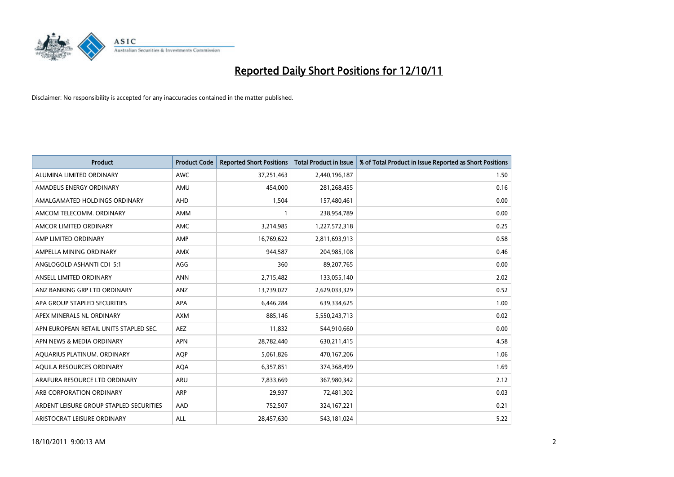

| <b>Product</b>                          | <b>Product Code</b> | <b>Reported Short Positions</b> | <b>Total Product in Issue</b> | % of Total Product in Issue Reported as Short Positions |
|-----------------------------------------|---------------------|---------------------------------|-------------------------------|---------------------------------------------------------|
| ALUMINA LIMITED ORDINARY                | <b>AWC</b>          | 37,251,463                      | 2,440,196,187                 | 1.50                                                    |
| AMADEUS ENERGY ORDINARY                 | AMU                 | 454,000                         | 281,268,455                   | 0.16                                                    |
| AMALGAMATED HOLDINGS ORDINARY           | <b>AHD</b>          | 1,504                           | 157,480,461                   | 0.00                                                    |
| AMCOM TELECOMM. ORDINARY                | <b>AMM</b>          |                                 | 238,954,789                   | 0.00                                                    |
| AMCOR LIMITED ORDINARY                  | <b>AMC</b>          | 3,214,985                       | 1,227,572,318                 | 0.25                                                    |
| AMP LIMITED ORDINARY                    | AMP                 | 16,769,622                      | 2,811,693,913                 | 0.58                                                    |
| AMPELLA MINING ORDINARY                 | <b>AMX</b>          | 944,587                         | 204,985,108                   | 0.46                                                    |
| ANGLOGOLD ASHANTI CDI 5:1               | AGG                 | 360                             | 89,207,765                    | 0.00                                                    |
| ANSELL LIMITED ORDINARY                 | <b>ANN</b>          | 2,715,482                       | 133,055,140                   | 2.02                                                    |
| ANZ BANKING GRP LTD ORDINARY            | ANZ                 | 13,739,027                      | 2,629,033,329                 | 0.52                                                    |
| APA GROUP STAPLED SECURITIES            | <b>APA</b>          | 6,446,284                       | 639,334,625                   | 1.00                                                    |
| APEX MINERALS NL ORDINARY               | <b>AXM</b>          | 885.146                         | 5,550,243,713                 | 0.02                                                    |
| APN EUROPEAN RETAIL UNITS STAPLED SEC.  | <b>AEZ</b>          | 11,832                          | 544,910,660                   | 0.00                                                    |
| APN NEWS & MEDIA ORDINARY               | <b>APN</b>          | 28,782,440                      | 630,211,415                   | 4.58                                                    |
| AQUARIUS PLATINUM. ORDINARY             | <b>AOP</b>          | 5,061,826                       | 470,167,206                   | 1.06                                                    |
| AQUILA RESOURCES ORDINARY               | <b>AQA</b>          | 6,357,851                       | 374,368,499                   | 1.69                                                    |
| ARAFURA RESOURCE LTD ORDINARY           | <b>ARU</b>          | 7,833,669                       | 367,980,342                   | 2.12                                                    |
| ARB CORPORATION ORDINARY                | <b>ARP</b>          | 29,937                          | 72,481,302                    | 0.03                                                    |
| ARDENT LEISURE GROUP STAPLED SECURITIES | AAD                 | 752,507                         | 324, 167, 221                 | 0.21                                                    |
| ARISTOCRAT LEISURE ORDINARY             | <b>ALL</b>          | 28,457,630                      | 543,181,024                   | 5.22                                                    |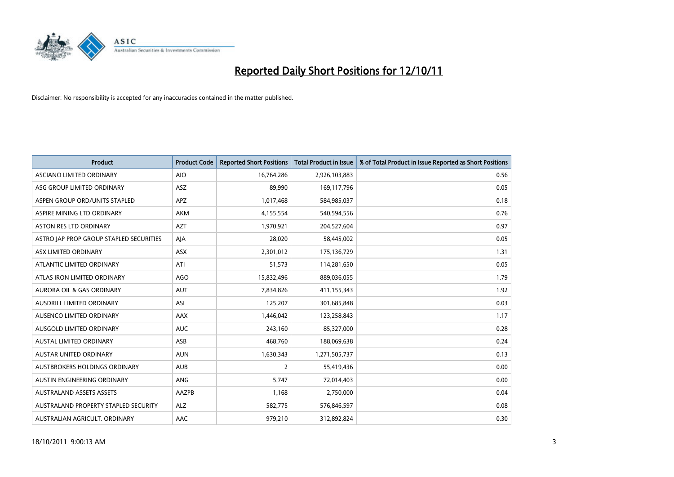

| <b>Product</b>                          | <b>Product Code</b> | <b>Reported Short Positions</b> | <b>Total Product in Issue</b> | % of Total Product in Issue Reported as Short Positions |
|-----------------------------------------|---------------------|---------------------------------|-------------------------------|---------------------------------------------------------|
| ASCIANO LIMITED ORDINARY                | <b>AIO</b>          | 16,764,286                      | 2,926,103,883                 | 0.56                                                    |
| ASG GROUP LIMITED ORDINARY              | <b>ASZ</b>          | 89,990                          | 169,117,796                   | 0.05                                                    |
| ASPEN GROUP ORD/UNITS STAPLED           | <b>APZ</b>          | 1,017,468                       | 584,985,037                   | 0.18                                                    |
| ASPIRE MINING LTD ORDINARY              | <b>AKM</b>          | 4,155,554                       | 540,594,556                   | 0.76                                                    |
| <b>ASTON RES LTD ORDINARY</b>           | <b>AZT</b>          | 1,970,921                       | 204,527,604                   | 0.97                                                    |
| ASTRO JAP PROP GROUP STAPLED SECURITIES | AIA                 | 28,020                          | 58,445,002                    | 0.05                                                    |
| ASX LIMITED ORDINARY                    | <b>ASX</b>          | 2,301,012                       | 175,136,729                   | 1.31                                                    |
| ATLANTIC LIMITED ORDINARY               | ATI                 | 51,573                          | 114,281,650                   | 0.05                                                    |
| ATLAS IRON LIMITED ORDINARY             | AGO                 | 15,832,496                      | 889,036,055                   | 1.79                                                    |
| <b>AURORA OIL &amp; GAS ORDINARY</b>    | <b>AUT</b>          | 7,834,826                       | 411,155,343                   | 1.92                                                    |
| AUSDRILL LIMITED ORDINARY               | ASL                 | 125,207                         | 301,685,848                   | 0.03                                                    |
| AUSENCO LIMITED ORDINARY                | AAX                 | 1,446,042                       | 123,258,843                   | 1.17                                                    |
| AUSGOLD LIMITED ORDINARY                | <b>AUC</b>          | 243,160                         | 85,327,000                    | 0.28                                                    |
| <b>AUSTAL LIMITED ORDINARY</b>          | ASB                 | 468,760                         | 188,069,638                   | 0.24                                                    |
| <b>AUSTAR UNITED ORDINARY</b>           | <b>AUN</b>          | 1,630,343                       | 1,271,505,737                 | 0.13                                                    |
| AUSTBROKERS HOLDINGS ORDINARY           | <b>AUB</b>          | $\overline{2}$                  | 55,419,436                    | 0.00                                                    |
| AUSTIN ENGINEERING ORDINARY             | ANG                 | 5,747                           | 72,014,403                    | 0.00                                                    |
| <b>AUSTRALAND ASSETS ASSETS</b>         | AAZPB               | 1,168                           | 2,750,000                     | 0.04                                                    |
| AUSTRALAND PROPERTY STAPLED SECURITY    | <b>ALZ</b>          | 582,775                         | 576,846,597                   | 0.08                                                    |
| AUSTRALIAN AGRICULT. ORDINARY           | AAC                 | 979,210                         | 312,892,824                   | 0.30                                                    |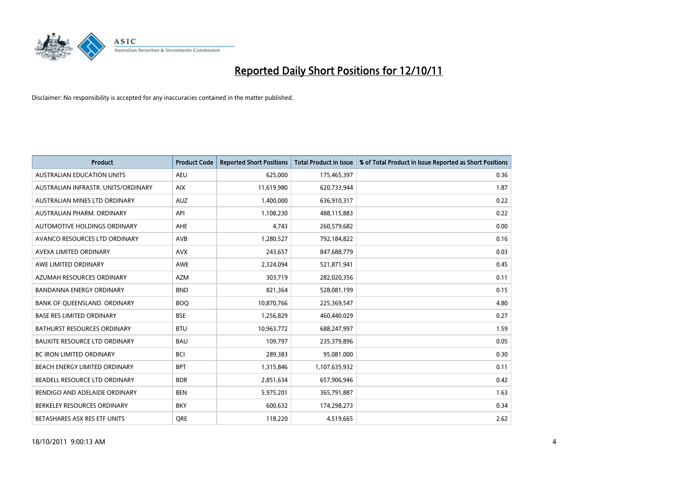

| <b>Product</b>                       | <b>Product Code</b> | <b>Reported Short Positions</b> | Total Product in Issue | % of Total Product in Issue Reported as Short Positions |
|--------------------------------------|---------------------|---------------------------------|------------------------|---------------------------------------------------------|
| <b>AUSTRALIAN EDUCATION UNITS</b>    | <b>AEU</b>          | 625,000                         | 175,465,397            | 0.36                                                    |
| AUSTRALIAN INFRASTR. UNITS/ORDINARY  | <b>AIX</b>          | 11,619,980                      | 620,733,944            | 1.87                                                    |
| AUSTRALIAN MINES LTD ORDINARY        | <b>AUZ</b>          | 1,400,000                       | 636,910,317            | 0.22                                                    |
| AUSTRALIAN PHARM. ORDINARY           | API                 | 1,108,230                       | 488,115,883            | 0.22                                                    |
| AUTOMOTIVE HOLDINGS ORDINARY         | AHE                 | 4.743                           | 260,579,682            | 0.00                                                    |
| AVANCO RESOURCES LTD ORDINARY        | AVB                 | 1,280,527                       | 792,184,822            | 0.16                                                    |
| AVEXA LIMITED ORDINARY               | <b>AVX</b>          | 243,657                         | 847,688,779            | 0.03                                                    |
| AWE LIMITED ORDINARY                 | AWE                 | 2,324,094                       | 521,871,941            | 0.45                                                    |
| AZUMAH RESOURCES ORDINARY            | <b>AZM</b>          | 303,719                         | 282,020,356            | 0.11                                                    |
| <b>BANDANNA ENERGY ORDINARY</b>      | <b>BND</b>          | 821,364                         | 528,081,199            | 0.15                                                    |
| BANK OF QUEENSLAND. ORDINARY         | <b>BOQ</b>          | 10,870,766                      | 225,369,547            | 4.80                                                    |
| <b>BASE RES LIMITED ORDINARY</b>     | <b>BSE</b>          | 1,256,829                       | 460,440,029            | 0.27                                                    |
| <b>BATHURST RESOURCES ORDINARY</b>   | <b>BTU</b>          | 10,963,772                      | 688,247,997            | 1.59                                                    |
| <b>BAUXITE RESOURCE LTD ORDINARY</b> | <b>BAU</b>          | 109,797                         | 235,379,896            | 0.05                                                    |
| <b>BC IRON LIMITED ORDINARY</b>      | <b>BCI</b>          | 289,383                         | 95,081,000             | 0.30                                                    |
| BEACH ENERGY LIMITED ORDINARY        | <b>BPT</b>          | 1,315,846                       | 1,107,635,932          | 0.11                                                    |
| BEADELL RESOURCE LTD ORDINARY        | <b>BDR</b>          | 2,851,634                       | 657,906,946            | 0.42                                                    |
| BENDIGO AND ADELAIDE ORDINARY        | <b>BEN</b>          | 5,975,201                       | 365,791,887            | 1.63                                                    |
| BERKELEY RESOURCES ORDINARY          | <b>BKY</b>          | 600,632                         | 174,298,273            | 0.34                                                    |
| BETASHARES ASX RES ETF UNITS         | <b>ORE</b>          | 118,220                         | 4,519,665              | 2.62                                                    |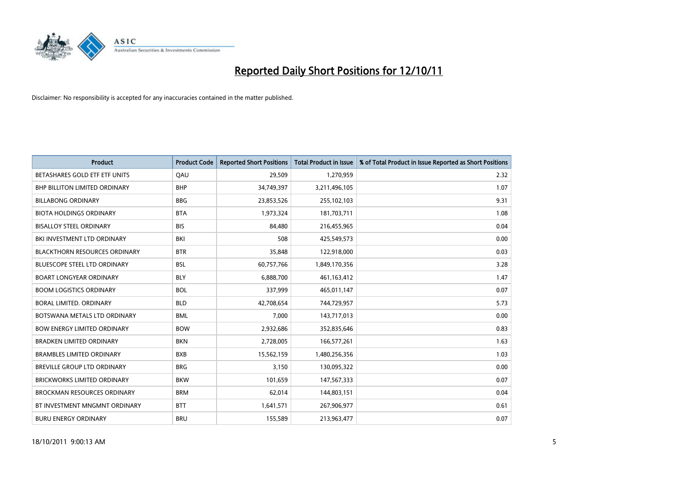

| <b>Product</b>                       | <b>Product Code</b> | <b>Reported Short Positions</b> | <b>Total Product in Issue</b> | % of Total Product in Issue Reported as Short Positions |
|--------------------------------------|---------------------|---------------------------------|-------------------------------|---------------------------------------------------------|
| BETASHARES GOLD ETF ETF UNITS        | QAU                 | 29,509                          | 1,270,959                     | 2.32                                                    |
| <b>BHP BILLITON LIMITED ORDINARY</b> | <b>BHP</b>          | 34,749,397                      | 3,211,496,105                 | 1.07                                                    |
| <b>BILLABONG ORDINARY</b>            | <b>BBG</b>          | 23,853,526                      | 255,102,103                   | 9.31                                                    |
| <b>BIOTA HOLDINGS ORDINARY</b>       | <b>BTA</b>          | 1,973,324                       | 181,703,711                   | 1.08                                                    |
| <b>BISALLOY STEEL ORDINARY</b>       | <b>BIS</b>          | 84.480                          | 216,455,965                   | 0.04                                                    |
| BKI INVESTMENT LTD ORDINARY          | BKI                 | 508                             | 425,549,573                   | 0.00                                                    |
| <b>BLACKTHORN RESOURCES ORDINARY</b> | <b>BTR</b>          | 35,848                          | 122,918,000                   | 0.03                                                    |
| <b>BLUESCOPE STEEL LTD ORDINARY</b>  | <b>BSL</b>          | 60,757,766                      | 1,849,170,356                 | 3.28                                                    |
| <b>BOART LONGYEAR ORDINARY</b>       | <b>BLY</b>          | 6,888,700                       | 461,163,412                   | 1.47                                                    |
| <b>BOOM LOGISTICS ORDINARY</b>       | <b>BOL</b>          | 337,999                         | 465,011,147                   | 0.07                                                    |
| BORAL LIMITED, ORDINARY              | <b>BLD</b>          | 42,708,654                      | 744,729,957                   | 5.73                                                    |
| BOTSWANA METALS LTD ORDINARY         | <b>BML</b>          | 7,000                           | 143,717,013                   | 0.00                                                    |
| <b>BOW ENERGY LIMITED ORDINARY</b>   | <b>BOW</b>          | 2,932,686                       | 352,835,646                   | 0.83                                                    |
| <b>BRADKEN LIMITED ORDINARY</b>      | <b>BKN</b>          | 2,728,005                       | 166,577,261                   | 1.63                                                    |
| <b>BRAMBLES LIMITED ORDINARY</b>     | <b>BXB</b>          | 15,562,159                      | 1,480,256,356                 | 1.03                                                    |
| BREVILLE GROUP LTD ORDINARY          | <b>BRG</b>          | 3,150                           | 130,095,322                   | 0.00                                                    |
| BRICKWORKS LIMITED ORDINARY          | <b>BKW</b>          | 101,659                         | 147,567,333                   | 0.07                                                    |
| <b>BROCKMAN RESOURCES ORDINARY</b>   | <b>BRM</b>          | 62,014                          | 144,803,151                   | 0.04                                                    |
| BT INVESTMENT MNGMNT ORDINARY        | <b>BTT</b>          | 1,641,571                       | 267,906,977                   | 0.61                                                    |
| <b>BURU ENERGY ORDINARY</b>          | <b>BRU</b>          | 155,589                         | 213,963,477                   | 0.07                                                    |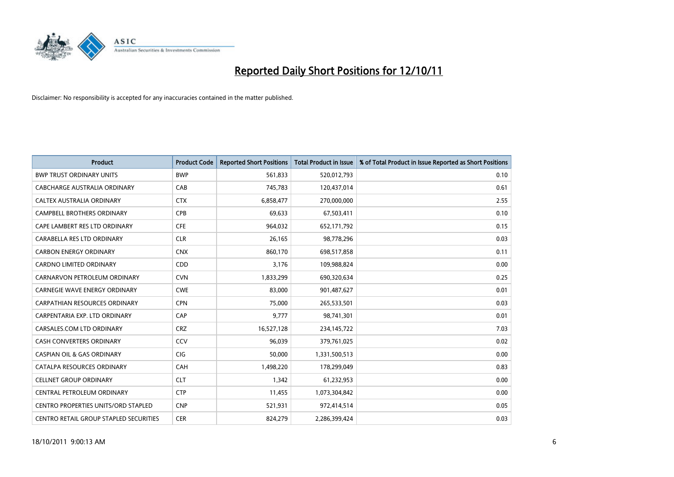

| <b>Product</b>                                | <b>Product Code</b> | <b>Reported Short Positions</b> | Total Product in Issue | % of Total Product in Issue Reported as Short Positions |
|-----------------------------------------------|---------------------|---------------------------------|------------------------|---------------------------------------------------------|
| <b>BWP TRUST ORDINARY UNITS</b>               | <b>BWP</b>          | 561,833                         | 520,012,793            | 0.10                                                    |
| CABCHARGE AUSTRALIA ORDINARY                  | CAB                 | 745,783                         | 120,437,014            | 0.61                                                    |
| <b>CALTEX AUSTRALIA ORDINARY</b>              | <b>CTX</b>          | 6,858,477                       | 270,000,000            | 2.55                                                    |
| CAMPBELL BROTHERS ORDINARY                    | <b>CPB</b>          | 69,633                          | 67,503,411             | 0.10                                                    |
| CAPE LAMBERT RES LTD ORDINARY                 | <b>CFE</b>          | 964,032                         | 652,171,792            | 0.15                                                    |
| CARABELLA RES LTD ORDINARY                    | <b>CLR</b>          | 26,165                          | 98,778,296             | 0.03                                                    |
| <b>CARBON ENERGY ORDINARY</b>                 | <b>CNX</b>          | 860,170                         | 698,517,858            | 0.11                                                    |
| <b>CARDNO LIMITED ORDINARY</b>                | <b>CDD</b>          | 3,176                           | 109,988,824            | 0.00                                                    |
| CARNARVON PETROLEUM ORDINARY                  | <b>CVN</b>          | 1,833,299                       | 690,320,634            | 0.25                                                    |
| <b>CARNEGIE WAVE ENERGY ORDINARY</b>          | <b>CWE</b>          | 83,000                          | 901,487,627            | 0.01                                                    |
| <b>CARPATHIAN RESOURCES ORDINARY</b>          | <b>CPN</b>          | 75,000                          | 265,533,501            | 0.03                                                    |
| CARPENTARIA EXP. LTD ORDINARY                 | CAP                 | 9,777                           | 98,741,301             | 0.01                                                    |
| CARSALES.COM LTD ORDINARY                     | <b>CRZ</b>          | 16,527,128                      | 234,145,722            | 7.03                                                    |
| <b>CASH CONVERTERS ORDINARY</b>               | CCV                 | 96,039                          | 379,761,025            | 0.02                                                    |
| <b>CASPIAN OIL &amp; GAS ORDINARY</b>         | <b>CIG</b>          | 50,000                          | 1,331,500,513          | 0.00                                                    |
| CATALPA RESOURCES ORDINARY                    | CAH                 | 1,498,220                       | 178,299,049            | 0.83                                                    |
| <b>CELLNET GROUP ORDINARY</b>                 | <b>CLT</b>          | 1,342                           | 61,232,953             | 0.00                                                    |
| CENTRAL PETROLEUM ORDINARY                    | <b>CTP</b>          | 11,455                          | 1,073,304,842          | 0.00                                                    |
| <b>CENTRO PROPERTIES UNITS/ORD STAPLED</b>    | <b>CNP</b>          | 521,931                         | 972,414,514            | 0.05                                                    |
| <b>CENTRO RETAIL GROUP STAPLED SECURITIES</b> | <b>CER</b>          | 824.279                         | 2,286,399,424          | 0.03                                                    |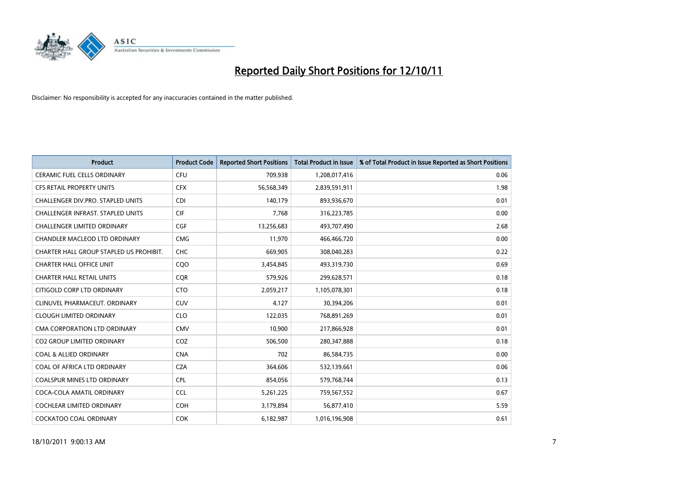

| <b>Product</b>                           | <b>Product Code</b> | <b>Reported Short Positions</b> | <b>Total Product in Issue</b> | % of Total Product in Issue Reported as Short Positions |
|------------------------------------------|---------------------|---------------------------------|-------------------------------|---------------------------------------------------------|
| <b>CERAMIC FUEL CELLS ORDINARY</b>       | <b>CFU</b>          | 709,938                         | 1,208,017,416                 | 0.06                                                    |
| CFS RETAIL PROPERTY UNITS                | <b>CFX</b>          | 56,568,349                      | 2,839,591,911                 | 1.98                                                    |
| CHALLENGER DIV.PRO. STAPLED UNITS        | <b>CDI</b>          | 140,179                         | 893,936,670                   | 0.01                                                    |
| <b>CHALLENGER INFRAST. STAPLED UNITS</b> | <b>CIF</b>          | 7,768                           | 316,223,785                   | 0.00                                                    |
| <b>CHALLENGER LIMITED ORDINARY</b>       | <b>CGF</b>          | 13,256,683                      | 493,707,490                   | 2.68                                                    |
| CHANDLER MACLEOD LTD ORDINARY            | <b>CMG</b>          | 11,970                          | 466,466,720                   | 0.00                                                    |
| CHARTER HALL GROUP STAPLED US PROHIBIT.  | <b>CHC</b>          | 669,905                         | 308,040,283                   | 0.22                                                    |
| <b>CHARTER HALL OFFICE UNIT</b>          | CQO                 | 3,454,845                       | 493,319,730                   | 0.69                                                    |
| <b>CHARTER HALL RETAIL UNITS</b>         | <b>COR</b>          | 579,926                         | 299,628,571                   | 0.18                                                    |
| CITIGOLD CORP LTD ORDINARY               | <b>CTO</b>          | 2,059,217                       | 1,105,078,301                 | 0.18                                                    |
| CLINUVEL PHARMACEUT. ORDINARY            | <b>CUV</b>          | 4,127                           | 30,394,206                    | 0.01                                                    |
| <b>CLOUGH LIMITED ORDINARY</b>           | <b>CLO</b>          | 122,035                         | 768,891,269                   | 0.01                                                    |
| CMA CORPORATION LTD ORDINARY             | <b>CMV</b>          | 10,900                          | 217,866,928                   | 0.01                                                    |
| <b>CO2 GROUP LIMITED ORDINARY</b>        | COZ                 | 506,500                         | 280, 347, 888                 | 0.18                                                    |
| <b>COAL &amp; ALLIED ORDINARY</b>        | <b>CNA</b>          | 702                             | 86,584,735                    | 0.00                                                    |
| COAL OF AFRICA LTD ORDINARY              | <b>CZA</b>          | 364,606                         | 532,139,661                   | 0.06                                                    |
| <b>COALSPUR MINES LTD ORDINARY</b>       | <b>CPL</b>          | 854,056                         | 579,768,744                   | 0.13                                                    |
| COCA-COLA AMATIL ORDINARY                | <b>CCL</b>          | 5,261,225                       | 759,567,552                   | 0.67                                                    |
| COCHLEAR LIMITED ORDINARY                | <b>COH</b>          | 3,179,894                       | 56,877,410                    | 5.59                                                    |
| COCKATOO COAL ORDINARY                   | <b>COK</b>          | 6,182,987                       | 1,016,196,908                 | 0.61                                                    |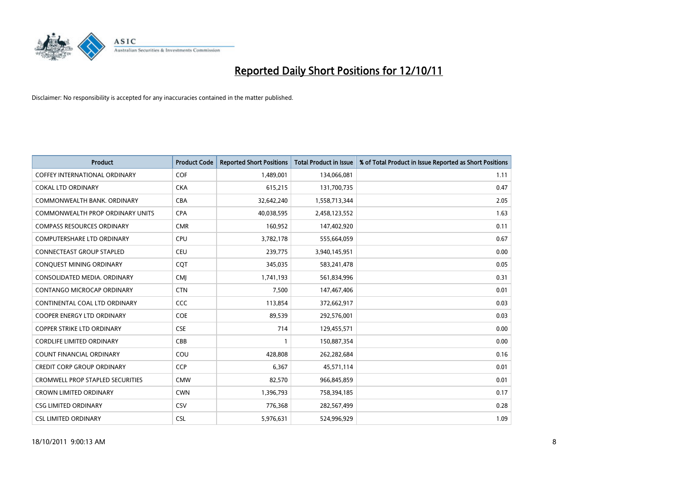

| <b>Product</b>                          | <b>Product Code</b> | <b>Reported Short Positions</b> | <b>Total Product in Issue</b> | % of Total Product in Issue Reported as Short Positions |
|-----------------------------------------|---------------------|---------------------------------|-------------------------------|---------------------------------------------------------|
| COFFEY INTERNATIONAL ORDINARY           | <b>COF</b>          | 1,489,001                       | 134,066,081                   | 1.11                                                    |
| <b>COKAL LTD ORDINARY</b>               | <b>CKA</b>          | 615,215                         | 131,700,735                   | 0.47                                                    |
| COMMONWEALTH BANK, ORDINARY             | <b>CBA</b>          | 32,642,240                      | 1,558,713,344                 | 2.05                                                    |
| COMMONWEALTH PROP ORDINARY UNITS        | <b>CPA</b>          | 40,038,595                      | 2,458,123,552                 | 1.63                                                    |
| <b>COMPASS RESOURCES ORDINARY</b>       | <b>CMR</b>          | 160,952                         | 147,402,920                   | 0.11                                                    |
| <b>COMPUTERSHARE LTD ORDINARY</b>       | <b>CPU</b>          | 3,782,178                       | 555,664,059                   | 0.67                                                    |
| <b>CONNECTEAST GROUP STAPLED</b>        | <b>CEU</b>          | 239,775                         | 3,940,145,951                 | 0.00                                                    |
| CONQUEST MINING ORDINARY                | <b>COT</b>          | 345,035                         | 583,241,478                   | 0.05                                                    |
| CONSOLIDATED MEDIA, ORDINARY            | <b>CMI</b>          | 1,741,193                       | 561,834,996                   | 0.31                                                    |
| <b>CONTANGO MICROCAP ORDINARY</b>       | <b>CTN</b>          | 7,500                           | 147,467,406                   | 0.01                                                    |
| CONTINENTAL COAL LTD ORDINARY           | <b>CCC</b>          | 113,854                         | 372,662,917                   | 0.03                                                    |
| <b>COOPER ENERGY LTD ORDINARY</b>       | <b>COE</b>          | 89,539                          | 292,576,001                   | 0.03                                                    |
| <b>COPPER STRIKE LTD ORDINARY</b>       | <b>CSE</b>          | 714                             | 129,455,571                   | 0.00                                                    |
| <b>CORDLIFE LIMITED ORDINARY</b>        | CBB                 |                                 | 150,887,354                   | 0.00                                                    |
| <b>COUNT FINANCIAL ORDINARY</b>         | COU                 | 428,808                         | 262,282,684                   | 0.16                                                    |
| CREDIT CORP GROUP ORDINARY              | <b>CCP</b>          | 6,367                           | 45,571,114                    | 0.01                                                    |
| <b>CROMWELL PROP STAPLED SECURITIES</b> | <b>CMW</b>          | 82,570                          | 966,845,859                   | 0.01                                                    |
| <b>CROWN LIMITED ORDINARY</b>           | <b>CWN</b>          | 1,396,793                       | 758,394,185                   | 0.17                                                    |
| <b>CSG LIMITED ORDINARY</b>             | <b>CSV</b>          | 776,368                         | 282,567,499                   | 0.28                                                    |
| <b>CSL LIMITED ORDINARY</b>             | <b>CSL</b>          | 5,976,631                       | 524.996.929                   | 1.09                                                    |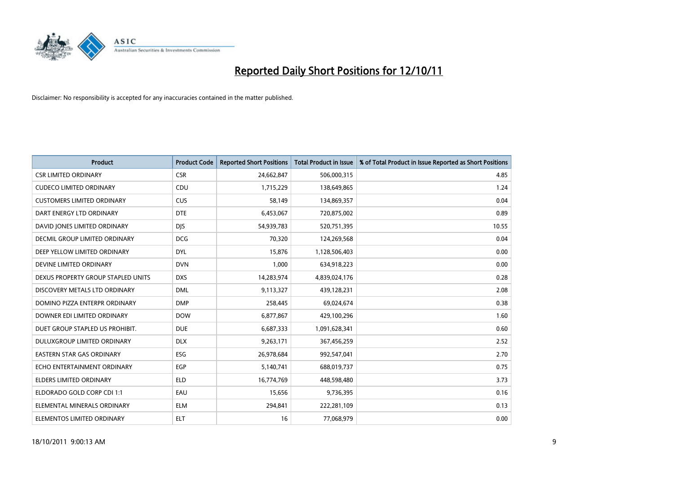

| <b>Product</b>                     | <b>Product Code</b> | <b>Reported Short Positions</b> | <b>Total Product in Issue</b> | % of Total Product in Issue Reported as Short Positions |
|------------------------------------|---------------------|---------------------------------|-------------------------------|---------------------------------------------------------|
| <b>CSR LIMITED ORDINARY</b>        | <b>CSR</b>          | 24,662,847                      | 506,000,315                   | 4.85                                                    |
| <b>CUDECO LIMITED ORDINARY</b>     | CDU                 | 1,715,229                       | 138,649,865                   | 1.24                                                    |
| <b>CUSTOMERS LIMITED ORDINARY</b>  | <b>CUS</b>          | 58,149                          | 134,869,357                   | 0.04                                                    |
| DART ENERGY LTD ORDINARY           | <b>DTE</b>          | 6,453,067                       | 720,875,002                   | 0.89                                                    |
| DAVID JONES LIMITED ORDINARY       | <b>DIS</b>          | 54,939,783                      | 520,751,395                   | 10.55                                                   |
| DECMIL GROUP LIMITED ORDINARY      | <b>DCG</b>          | 70,320                          | 124,269,568                   | 0.04                                                    |
| DEEP YELLOW LIMITED ORDINARY       | <b>DYL</b>          | 15,876                          | 1,128,506,403                 | 0.00                                                    |
| DEVINE LIMITED ORDINARY            | <b>DVN</b>          | 1,000                           | 634,918,223                   | 0.00                                                    |
| DEXUS PROPERTY GROUP STAPLED UNITS | <b>DXS</b>          | 14,283,974                      | 4,839,024,176                 | 0.28                                                    |
| DISCOVERY METALS LTD ORDINARY      | <b>DML</b>          | 9,113,327                       | 439,128,231                   | 2.08                                                    |
| DOMINO PIZZA ENTERPR ORDINARY      | <b>DMP</b>          | 258,445                         | 69,024,674                    | 0.38                                                    |
| DOWNER EDI LIMITED ORDINARY        | <b>DOW</b>          | 6,877,867                       | 429,100,296                   | 1.60                                                    |
| DUET GROUP STAPLED US PROHIBIT.    | <b>DUE</b>          | 6,687,333                       | 1,091,628,341                 | 0.60                                                    |
| DULUXGROUP LIMITED ORDINARY        | <b>DLX</b>          | 9,263,171                       | 367,456,259                   | 2.52                                                    |
| <b>EASTERN STAR GAS ORDINARY</b>   | ESG                 | 26,978,684                      | 992,547,041                   | 2.70                                                    |
| ECHO ENTERTAINMENT ORDINARY        | <b>EGP</b>          | 5,140,741                       | 688,019,737                   | 0.75                                                    |
| ELDERS LIMITED ORDINARY            | <b>ELD</b>          | 16,774,769                      | 448,598,480                   | 3.73                                                    |
| ELDORADO GOLD CORP CDI 1:1         | EAU                 | 15,656                          | 9,736,395                     | 0.16                                                    |
| ELEMENTAL MINERALS ORDINARY        | <b>ELM</b>          | 294,841                         | 222,281,109                   | 0.13                                                    |
| ELEMENTOS LIMITED ORDINARY         | <b>ELT</b>          | 16                              | 77,068,979                    | 0.00                                                    |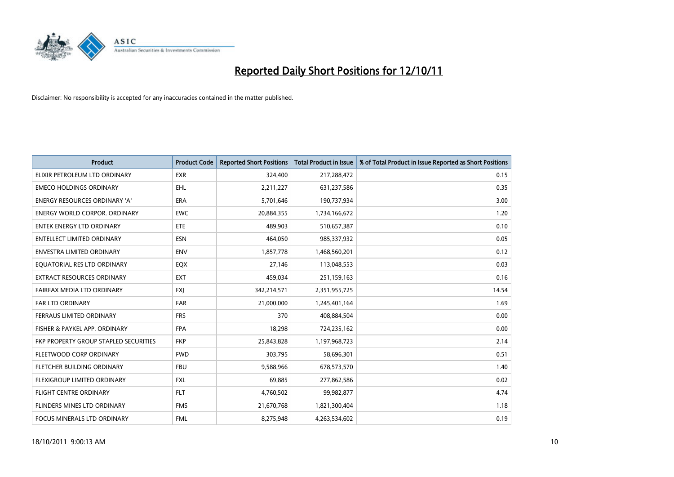

| <b>Product</b>                        | <b>Product Code</b> | <b>Reported Short Positions</b> | <b>Total Product in Issue</b> | % of Total Product in Issue Reported as Short Positions |
|---------------------------------------|---------------------|---------------------------------|-------------------------------|---------------------------------------------------------|
| ELIXIR PETROLEUM LTD ORDINARY         | <b>EXR</b>          | 324,400                         | 217,288,472                   | 0.15                                                    |
| <b>EMECO HOLDINGS ORDINARY</b>        | <b>EHL</b>          | 2,211,227                       | 631,237,586                   | 0.35                                                    |
| <b>ENERGY RESOURCES ORDINARY 'A'</b>  | <b>ERA</b>          | 5,701,646                       | 190,737,934                   | 3.00                                                    |
| ENERGY WORLD CORPOR. ORDINARY         | <b>EWC</b>          | 20,884,355                      | 1,734,166,672                 | 1.20                                                    |
| <b>ENTEK ENERGY LTD ORDINARY</b>      | <b>ETE</b>          | 489,903                         | 510,657,387                   | 0.10                                                    |
| <b>ENTELLECT LIMITED ORDINARY</b>     | <b>ESN</b>          | 464,050                         | 985,337,932                   | 0.05                                                    |
| ENVESTRA LIMITED ORDINARY             | <b>ENV</b>          | 1,857,778                       | 1,468,560,201                 | 0.12                                                    |
| EQUATORIAL RES LTD ORDINARY           | <b>EQX</b>          | 27,146                          | 113,048,553                   | 0.03                                                    |
| <b>EXTRACT RESOURCES ORDINARY</b>     | <b>EXT</b>          | 459,034                         | 251,159,163                   | 0.16                                                    |
| FAIRFAX MEDIA LTD ORDINARY            | <b>FXI</b>          | 342,214,571                     | 2,351,955,725                 | 14.54                                                   |
| FAR LTD ORDINARY                      | <b>FAR</b>          | 21,000,000                      | 1,245,401,164                 | 1.69                                                    |
| FERRAUS LIMITED ORDINARY              | <b>FRS</b>          | 370                             | 408,884,504                   | 0.00                                                    |
| FISHER & PAYKEL APP. ORDINARY         | <b>FPA</b>          | 18,298                          | 724,235,162                   | 0.00                                                    |
| FKP PROPERTY GROUP STAPLED SECURITIES | <b>FKP</b>          | 25,843,828                      | 1,197,968,723                 | 2.14                                                    |
| FLEETWOOD CORP ORDINARY               | <b>FWD</b>          | 303,795                         | 58,696,301                    | 0.51                                                    |
| FLETCHER BUILDING ORDINARY            | <b>FBU</b>          | 9,588,966                       | 678,573,570                   | 1.40                                                    |
| <b>FLEXIGROUP LIMITED ORDINARY</b>    | <b>FXL</b>          | 69,885                          | 277,862,586                   | 0.02                                                    |
| <b>FLIGHT CENTRE ORDINARY</b>         | <b>FLT</b>          | 4,760,502                       | 99,982,877                    | 4.74                                                    |
| FLINDERS MINES LTD ORDINARY           | <b>FMS</b>          | 21,670,768                      | 1,821,300,404                 | 1.18                                                    |
| FOCUS MINERALS LTD ORDINARY           | <b>FML</b>          | 8,275,948                       | 4,263,534,602                 | 0.19                                                    |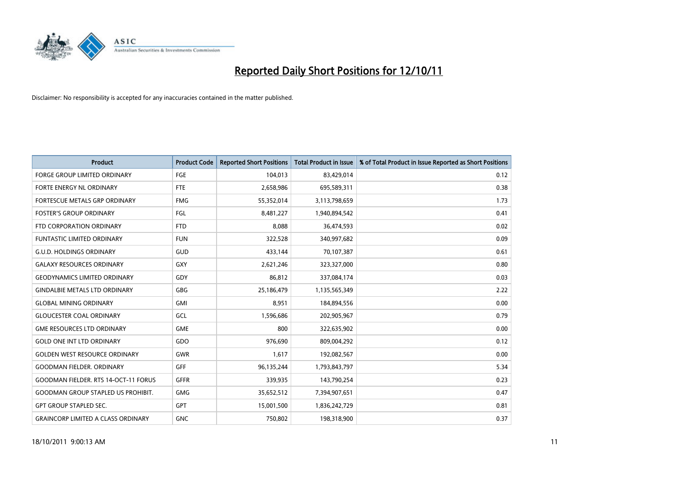

| <b>Product</b>                              | <b>Product Code</b> | <b>Reported Short Positions</b> | <b>Total Product in Issue</b> | % of Total Product in Issue Reported as Short Positions |
|---------------------------------------------|---------------------|---------------------------------|-------------------------------|---------------------------------------------------------|
| <b>FORGE GROUP LIMITED ORDINARY</b>         | FGE                 | 104,013                         | 83,429,014                    | 0.12                                                    |
| FORTE ENERGY NL ORDINARY                    | <b>FTE</b>          | 2,658,986                       | 695,589,311                   | 0.38                                                    |
| FORTESCUE METALS GRP ORDINARY               | <b>FMG</b>          | 55,352,014                      | 3,113,798,659                 | 1.73                                                    |
| <b>FOSTER'S GROUP ORDINARY</b>              | FGL                 | 8,481,227                       | 1,940,894,542                 | 0.41                                                    |
| FTD CORPORATION ORDINARY                    | <b>FTD</b>          | 8,088                           | 36,474,593                    | 0.02                                                    |
| <b>FUNTASTIC LIMITED ORDINARY</b>           | <b>FUN</b>          | 322,528                         | 340,997,682                   | 0.09                                                    |
| <b>G.U.D. HOLDINGS ORDINARY</b>             | GUD                 | 433.144                         | 70,107,387                    | 0.61                                                    |
| <b>GALAXY RESOURCES ORDINARY</b>            | <b>GXY</b>          | 2,621,246                       | 323,327,000                   | 0.80                                                    |
| <b>GEODYNAMICS LIMITED ORDINARY</b>         | GDY                 | 86,812                          | 337,084,174                   | 0.03                                                    |
| <b>GINDALBIE METALS LTD ORDINARY</b>        | GBG                 | 25,186,479                      | 1,135,565,349                 | 2.22                                                    |
| <b>GLOBAL MINING ORDINARY</b>               | <b>GMI</b>          | 8,951                           | 184,894,556                   | 0.00                                                    |
| <b>GLOUCESTER COAL ORDINARY</b>             | GCL                 | 1,596,686                       | 202,905,967                   | 0.79                                                    |
| <b>GME RESOURCES LTD ORDINARY</b>           | <b>GME</b>          | 800                             | 322,635,902                   | 0.00                                                    |
| <b>GOLD ONE INT LTD ORDINARY</b>            | GDO                 | 976,690                         | 809,004,292                   | 0.12                                                    |
| <b>GOLDEN WEST RESOURCE ORDINARY</b>        | <b>GWR</b>          | 1,617                           | 192,082,567                   | 0.00                                                    |
| <b>GOODMAN FIELDER. ORDINARY</b>            | <b>GFF</b>          | 96,135,244                      | 1,793,843,797                 | 5.34                                                    |
| <b>GOODMAN FIELDER. RTS 14-OCT-11 FORUS</b> | <b>GFFR</b>         | 339,935                         | 143,790,254                   | 0.23                                                    |
| <b>GOODMAN GROUP STAPLED US PROHIBIT.</b>   | <b>GMG</b>          | 35,652,512                      | 7,394,907,651                 | 0.47                                                    |
| <b>GPT GROUP STAPLED SEC.</b>               | <b>GPT</b>          | 15,001,500                      | 1,836,242,729                 | 0.81                                                    |
| <b>GRAINCORP LIMITED A CLASS ORDINARY</b>   | <b>GNC</b>          | 750.802                         | 198,318,900                   | 0.37                                                    |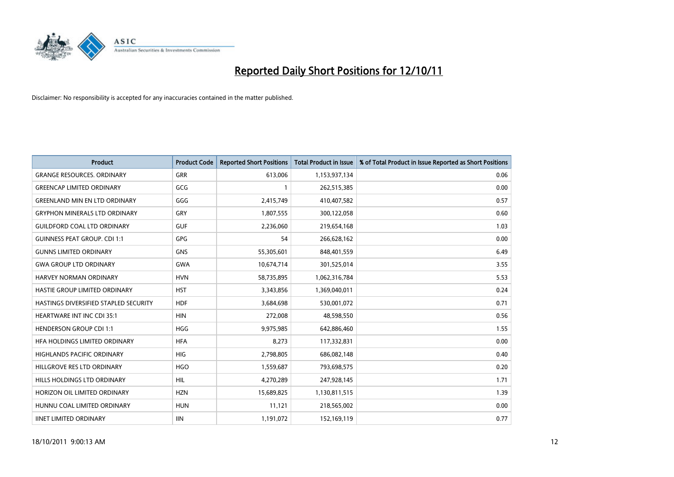

| <b>Product</b>                        | <b>Product Code</b> | <b>Reported Short Positions</b> | <b>Total Product in Issue</b> | % of Total Product in Issue Reported as Short Positions |
|---------------------------------------|---------------------|---------------------------------|-------------------------------|---------------------------------------------------------|
| <b>GRANGE RESOURCES, ORDINARY</b>     | GRR                 | 613,006                         | 1,153,937,134                 | 0.06                                                    |
| <b>GREENCAP LIMITED ORDINARY</b>      | GCG                 |                                 | 262,515,385                   | 0.00                                                    |
| <b>GREENLAND MIN EN LTD ORDINARY</b>  | GGG                 | 2,415,749                       | 410,407,582                   | 0.57                                                    |
| <b>GRYPHON MINERALS LTD ORDINARY</b>  | GRY                 | 1,807,555                       | 300,122,058                   | 0.60                                                    |
| <b>GUILDFORD COAL LTD ORDINARY</b>    | <b>GUF</b>          | 2,236,060                       | 219,654,168                   | 1.03                                                    |
| <b>GUINNESS PEAT GROUP. CDI 1:1</b>   | <b>GPG</b>          | 54                              | 266,628,162                   | 0.00                                                    |
| <b>GUNNS LIMITED ORDINARY</b>         | <b>GNS</b>          | 55,305,601                      | 848,401,559                   | 6.49                                                    |
| <b>GWA GROUP LTD ORDINARY</b>         | <b>GWA</b>          | 10,674,714                      | 301,525,014                   | 3.55                                                    |
| HARVEY NORMAN ORDINARY                | <b>HVN</b>          | 58,735,895                      | 1,062,316,784                 | 5.53                                                    |
| HASTIE GROUP LIMITED ORDINARY         | <b>HST</b>          | 3,343,856                       | 1,369,040,011                 | 0.24                                                    |
| HASTINGS DIVERSIFIED STAPLED SECURITY | <b>HDF</b>          | 3,684,698                       | 530,001,072                   | 0.71                                                    |
| <b>HEARTWARE INT INC CDI 35:1</b>     | <b>HIN</b>          | 272,008                         | 48,598,550                    | 0.56                                                    |
| <b>HENDERSON GROUP CDI 1:1</b>        | <b>HGG</b>          | 9,975,985                       | 642,886,460                   | 1.55                                                    |
| HFA HOLDINGS LIMITED ORDINARY         | <b>HFA</b>          | 8,273                           | 117,332,831                   | 0.00                                                    |
| <b>HIGHLANDS PACIFIC ORDINARY</b>     | <b>HIG</b>          | 2,798,805                       | 686,082,148                   | 0.40                                                    |
| HILLGROVE RES LTD ORDINARY            | <b>HGO</b>          | 1,559,687                       | 793,698,575                   | 0.20                                                    |
| HILLS HOLDINGS LTD ORDINARY           | <b>HIL</b>          | 4,270,289                       | 247,928,145                   | 1.71                                                    |
| HORIZON OIL LIMITED ORDINARY          | <b>HZN</b>          | 15,689,825                      | 1,130,811,515                 | 1.39                                                    |
| HUNNU COAL LIMITED ORDINARY           | <b>HUN</b>          | 11,121                          | 218,565,002                   | 0.00                                                    |
| <b>IINET LIMITED ORDINARY</b>         | <b>IIN</b>          | 1,191,072                       | 152,169,119                   | 0.77                                                    |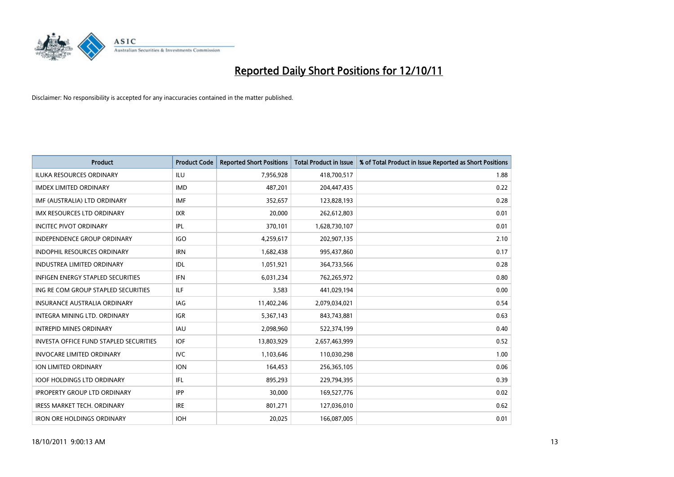

| <b>Product</b>                                | <b>Product Code</b> | <b>Reported Short Positions</b> | <b>Total Product in Issue</b> | % of Total Product in Issue Reported as Short Positions |
|-----------------------------------------------|---------------------|---------------------------------|-------------------------------|---------------------------------------------------------|
| <b>ILUKA RESOURCES ORDINARY</b>               | ILU                 | 7,956,928                       | 418,700,517                   | 1.88                                                    |
| <b>IMDEX LIMITED ORDINARY</b>                 | <b>IMD</b>          | 487,201                         | 204,447,435                   | 0.22                                                    |
| IMF (AUSTRALIA) LTD ORDINARY                  | <b>IMF</b>          | 352,657                         | 123,828,193                   | 0.28                                                    |
| <b>IMX RESOURCES LTD ORDINARY</b>             | <b>IXR</b>          | 20,000                          | 262,612,803                   | 0.01                                                    |
| <b>INCITEC PIVOT ORDINARY</b>                 | IPL                 | 370,101                         | 1,628,730,107                 | 0.01                                                    |
| <b>INDEPENDENCE GROUP ORDINARY</b>            | IGO                 | 4,259,617                       | 202,907,135                   | 2.10                                                    |
| INDOPHIL RESOURCES ORDINARY                   | <b>IRN</b>          | 1,682,438                       | 995,437,860                   | 0.17                                                    |
| <b>INDUSTREA LIMITED ORDINARY</b>             | IDL                 | 1,051,921                       | 364,733,566                   | 0.28                                                    |
| INFIGEN ENERGY STAPLED SECURITIES             | <b>IFN</b>          | 6,031,234                       | 762,265,972                   | 0.80                                                    |
| ING RE COM GROUP STAPLED SECURITIES           | ILF.                | 3,583                           | 441,029,194                   | 0.00                                                    |
| INSURANCE AUSTRALIA ORDINARY                  | IAG                 | 11,402,246                      | 2,079,034,021                 | 0.54                                                    |
| <b>INTEGRA MINING LTD, ORDINARY</b>           | <b>IGR</b>          | 5,367,143                       | 843,743,881                   | 0.63                                                    |
| <b>INTREPID MINES ORDINARY</b>                | <b>IAU</b>          | 2,098,960                       | 522,374,199                   | 0.40                                                    |
| <b>INVESTA OFFICE FUND STAPLED SECURITIES</b> | <b>IOF</b>          | 13,803,929                      | 2,657,463,999                 | 0.52                                                    |
| <b>INVOCARE LIMITED ORDINARY</b>              | <b>IVC</b>          | 1,103,646                       | 110,030,298                   | 1.00                                                    |
| ION LIMITED ORDINARY                          | <b>ION</b>          | 164,453                         | 256,365,105                   | 0.06                                                    |
| <b>IOOF HOLDINGS LTD ORDINARY</b>             | IFL.                | 895,293                         | 229,794,395                   | 0.39                                                    |
| <b>IPROPERTY GROUP LTD ORDINARY</b>           | <b>IPP</b>          | 30,000                          | 169,527,776                   | 0.02                                                    |
| <b>IRESS MARKET TECH. ORDINARY</b>            | <b>IRE</b>          | 801,271                         | 127,036,010                   | 0.62                                                    |
| <b>IRON ORE HOLDINGS ORDINARY</b>             | <b>IOH</b>          | 20,025                          | 166,087,005                   | 0.01                                                    |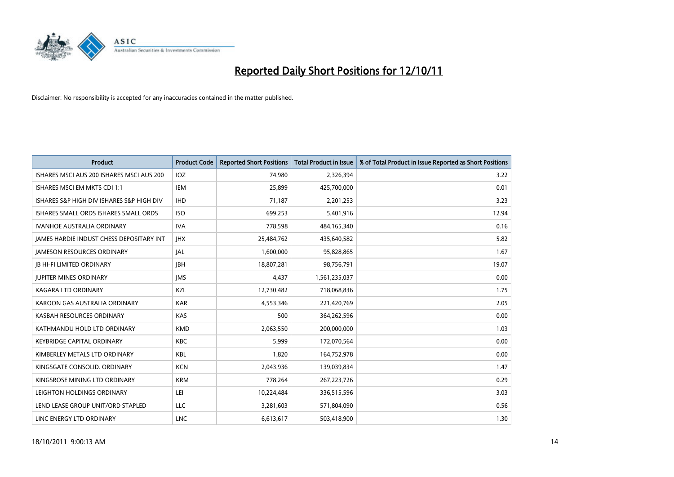

| <b>Product</b>                                  | <b>Product Code</b> | <b>Reported Short Positions</b> | Total Product in Issue | % of Total Product in Issue Reported as Short Positions |
|-------------------------------------------------|---------------------|---------------------------------|------------------------|---------------------------------------------------------|
| ISHARES MSCI AUS 200 ISHARES MSCI AUS 200       | <b>IOZ</b>          | 74.980                          | 2,326,394              | 3.22                                                    |
| ISHARES MSCI EM MKTS CDI 1:1                    | IEM                 | 25,899                          | 425,700,000            | 0.01                                                    |
| ISHARES S&P HIGH DIV ISHARES S&P HIGH DIV       | <b>IHD</b>          | 71,187                          | 2,201,253              | 3.23                                                    |
| ISHARES SMALL ORDS ISHARES SMALL ORDS           | <b>ISO</b>          | 699,253                         | 5,401,916              | 12.94                                                   |
| <b>IVANHOE AUSTRALIA ORDINARY</b>               | <b>IVA</b>          | 778,598                         | 484,165,340            | 0.16                                                    |
| <b>JAMES HARDIE INDUST CHESS DEPOSITARY INT</b> | <b>IHX</b>          | 25,484,762                      | 435,640,582            | 5.82                                                    |
| <b>JAMESON RESOURCES ORDINARY</b>               | <b>JAL</b>          | 1,600,000                       | 95,828,865             | 1.67                                                    |
| <b>JB HI-FI LIMITED ORDINARY</b>                | <b>IBH</b>          | 18,807,281                      | 98,756,791             | 19.07                                                   |
| <b>JUPITER MINES ORDINARY</b>                   | <b>IMS</b>          | 4,437                           | 1,561,235,037          | 0.00                                                    |
| <b>KAGARA LTD ORDINARY</b>                      | KZL                 | 12,730,482                      | 718,068,836            | 1.75                                                    |
| KAROON GAS AUSTRALIA ORDINARY                   | <b>KAR</b>          | 4,553,346                       | 221,420,769            | 2.05                                                    |
| KASBAH RESOURCES ORDINARY                       | <b>KAS</b>          | 500                             | 364,262,596            | 0.00                                                    |
| KATHMANDU HOLD LTD ORDINARY                     | <b>KMD</b>          | 2,063,550                       | 200,000,000            | 1.03                                                    |
| <b>KEYBRIDGE CAPITAL ORDINARY</b>               | <b>KBC</b>          | 5,999                           | 172,070,564            | 0.00                                                    |
| KIMBERLEY METALS LTD ORDINARY                   | <b>KBL</b>          | 1.820                           | 164,752,978            | 0.00                                                    |
| KINGSGATE CONSOLID. ORDINARY                    | <b>KCN</b>          | 2,043,936                       | 139,039,834            | 1.47                                                    |
| KINGSROSE MINING LTD ORDINARY                   | <b>KRM</b>          | 778,264                         | 267,223,726            | 0.29                                                    |
| LEIGHTON HOLDINGS ORDINARY                      | LEI                 | 10,224,484                      | 336,515,596            | 3.03                                                    |
| LEND LEASE GROUP UNIT/ORD STAPLED               | <b>LLC</b>          | 3,281,603                       | 571,804,090            | 0.56                                                    |
| LINC ENERGY LTD ORDINARY                        | <b>LNC</b>          | 6,613,617                       | 503,418,900            | 1.30                                                    |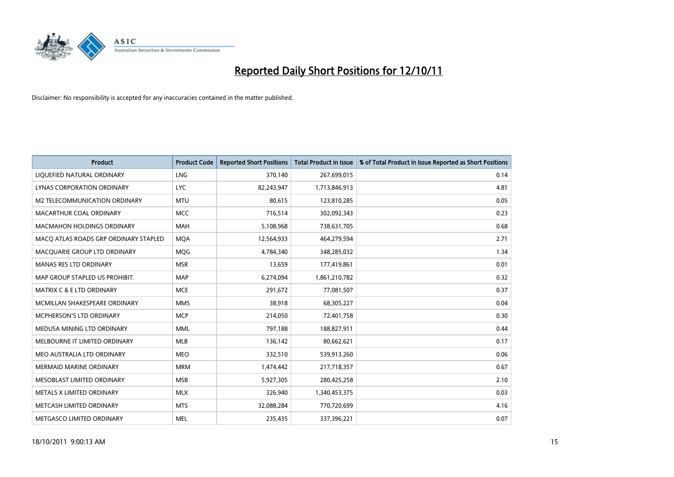

| <b>Product</b>                        | <b>Product Code</b> | <b>Reported Short Positions</b> | <b>Total Product in Issue</b> | % of Total Product in Issue Reported as Short Positions |
|---------------------------------------|---------------------|---------------------------------|-------------------------------|---------------------------------------------------------|
| LIQUEFIED NATURAL ORDINARY            | <b>LNG</b>          | 370,140                         | 267,699,015                   | 0.14                                                    |
| LYNAS CORPORATION ORDINARY            | <b>LYC</b>          | 82,243,947                      | 1,713,846,913                 | 4.81                                                    |
| M2 TELECOMMUNICATION ORDINARY         | <b>MTU</b>          | 80,615                          | 123,810,285                   | 0.05                                                    |
| MACARTHUR COAL ORDINARY               | <b>MCC</b>          | 716,514                         | 302,092,343                   | 0.23                                                    |
| <b>MACMAHON HOLDINGS ORDINARY</b>     | <b>MAH</b>          | 5,108,968                       | 738,631,705                   | 0.68                                                    |
| MACQ ATLAS ROADS GRP ORDINARY STAPLED | <b>MOA</b>          | 12,564,933                      | 464,279,594                   | 2.71                                                    |
| MACQUARIE GROUP LTD ORDINARY          | <b>MOG</b>          | 4,784,340                       | 348,285,032                   | 1.34                                                    |
| <b>MANAS RES LTD ORDINARY</b>         | <b>MSR</b>          | 13,659                          | 177,419,861                   | 0.01                                                    |
| MAP GROUP STAPLED US PROHIBIT.        | <b>MAP</b>          | 6,274,094                       | 1,861,210,782                 | 0.32                                                    |
| <b>MATRIX C &amp; E LTD ORDINARY</b>  | <b>MCE</b>          | 291,672                         | 77,081,507                    | 0.37                                                    |
| MCMILLAN SHAKESPEARE ORDINARY         | <b>MMS</b>          | 38,918                          | 68,305,227                    | 0.04                                                    |
| MCPHERSON'S LTD ORDINARY              | <b>MCP</b>          | 214,050                         | 72,401,758                    | 0.30                                                    |
| MEDUSA MINING LTD ORDINARY            | <b>MML</b>          | 797,188                         | 188,827,911                   | 0.44                                                    |
| MELBOURNE IT LIMITED ORDINARY         | <b>MLB</b>          | 136,142                         | 80,662,621                    | 0.17                                                    |
| MEO AUSTRALIA LTD ORDINARY            | <b>MEO</b>          | 332,510                         | 539,913,260                   | 0.06                                                    |
| <b>MERMAID MARINE ORDINARY</b>        | <b>MRM</b>          | 1,474,442                       | 217,718,357                   | 0.67                                                    |
| MESOBLAST LIMITED ORDINARY            | <b>MSB</b>          | 5,927,305                       | 280,425,258                   | 2.10                                                    |
| METALS X LIMITED ORDINARY             | <b>MLX</b>          | 326,940                         | 1,340,453,375                 | 0.03                                                    |
| METCASH LIMITED ORDINARY              | <b>MTS</b>          | 32,088,284                      | 770,720,699                   | 4.16                                                    |
| METGASCO LIMITED ORDINARY             | <b>MEL</b>          | 235.435                         | 337,396,221                   | 0.07                                                    |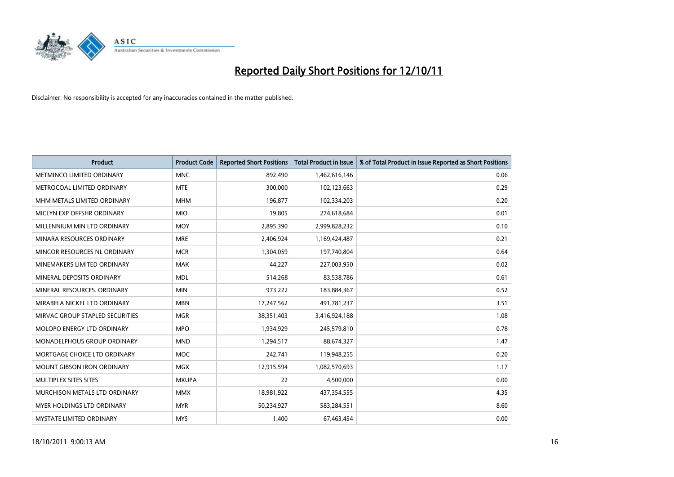

| <b>Product</b>                     | <b>Product Code</b> | <b>Reported Short Positions</b> | Total Product in Issue | % of Total Product in Issue Reported as Short Positions |
|------------------------------------|---------------------|---------------------------------|------------------------|---------------------------------------------------------|
| METMINCO LIMITED ORDINARY          | <b>MNC</b>          | 892,490                         | 1,462,616,146          | 0.06                                                    |
| METROCOAL LIMITED ORDINARY         | <b>MTE</b>          | 300,000                         | 102,123,663            | 0.29                                                    |
| MHM METALS LIMITED ORDINARY        | <b>MHM</b>          | 196.877                         | 102,334,203            | 0.20                                                    |
| MICLYN EXP OFFSHR ORDINARY         | <b>MIO</b>          | 19,805                          | 274,618,684            | 0.01                                                    |
| MILLENNIUM MIN LTD ORDINARY        | <b>MOY</b>          | 2,895,390                       | 2,999,828,232          | 0.10                                                    |
| MINARA RESOURCES ORDINARY          | <b>MRE</b>          | 2,406,924                       | 1,169,424,487          | 0.21                                                    |
| MINCOR RESOURCES NL ORDINARY       | <b>MCR</b>          | 1,304,059                       | 197,740,804            | 0.64                                                    |
| MINEMAKERS LIMITED ORDINARY        | <b>MAK</b>          | 44,227                          | 227,003,950            | 0.02                                                    |
| MINERAL DEPOSITS ORDINARY          | <b>MDL</b>          | 514,268                         | 83,538,786             | 0.61                                                    |
| MINERAL RESOURCES, ORDINARY        | <b>MIN</b>          | 973,222                         | 183,884,367            | 0.52                                                    |
| MIRABELA NICKEL LTD ORDINARY       | <b>MBN</b>          | 17,247,562                      | 491,781,237            | 3.51                                                    |
| MIRVAC GROUP STAPLED SECURITIES    | <b>MGR</b>          | 38,351,403                      | 3,416,924,188          | 1.08                                                    |
| MOLOPO ENERGY LTD ORDINARY         | <b>MPO</b>          | 1,934,929                       | 245,579,810            | 0.78                                                    |
| <b>MONADELPHOUS GROUP ORDINARY</b> | <b>MND</b>          | 1,294,517                       | 88,674,327             | 1.47                                                    |
| MORTGAGE CHOICE LTD ORDINARY       | <b>MOC</b>          | 242,741                         | 119,948,255            | 0.20                                                    |
| MOUNT GIBSON IRON ORDINARY         | <b>MGX</b>          | 12,915,594                      | 1,082,570,693          | 1.17                                                    |
| MULTIPLEX SITES SITES              | <b>MXUPA</b>        | 22                              | 4,500,000              | 0.00                                                    |
| MURCHISON METALS LTD ORDINARY      | <b>MMX</b>          | 18,981,922                      | 437,354,555            | 4.35                                                    |
| MYER HOLDINGS LTD ORDINARY         | <b>MYR</b>          | 50,234,927                      | 583,284,551            | 8.60                                                    |
| MYSTATE LIMITED ORDINARY           | <b>MYS</b>          | 1,400                           | 67,463,454             | 0.00                                                    |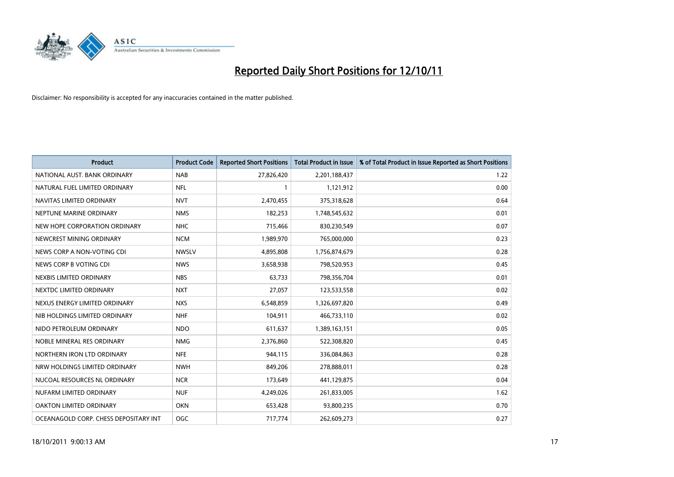

| <b>Product</b>                        | <b>Product Code</b> | <b>Reported Short Positions</b> | Total Product in Issue | % of Total Product in Issue Reported as Short Positions |
|---------------------------------------|---------------------|---------------------------------|------------------------|---------------------------------------------------------|
| NATIONAL AUST, BANK ORDINARY          | <b>NAB</b>          | 27,826,420                      | 2,201,188,437          | 1.22                                                    |
| NATURAL FUEL LIMITED ORDINARY         | <b>NFL</b>          |                                 | 1,121,912              | 0.00                                                    |
| NAVITAS LIMITED ORDINARY              | <b>NVT</b>          | 2,470,455                       | 375,318,628            | 0.64                                                    |
| NEPTUNE MARINE ORDINARY               | <b>NMS</b>          | 182,253                         | 1,748,545,632          | 0.01                                                    |
| NEW HOPE CORPORATION ORDINARY         | <b>NHC</b>          | 715,466                         | 830,230,549            | 0.07                                                    |
| NEWCREST MINING ORDINARY              | <b>NCM</b>          | 1,989,970                       | 765,000,000            | 0.23                                                    |
| NEWS CORP A NON-VOTING CDI            | <b>NWSLV</b>        | 4,895,808                       | 1,756,874,679          | 0.28                                                    |
| NEWS CORP B VOTING CDI                | <b>NWS</b>          | 3,658,938                       | 798,520,953            | 0.45                                                    |
| NEXBIS LIMITED ORDINARY               | <b>NBS</b>          | 63,733                          | 798,356,704            | 0.01                                                    |
| NEXTDC LIMITED ORDINARY               | <b>NXT</b>          | 27,057                          | 123,533,558            | 0.02                                                    |
| NEXUS ENERGY LIMITED ORDINARY         | <b>NXS</b>          | 6,548,859                       | 1,326,697,820          | 0.49                                                    |
| NIB HOLDINGS LIMITED ORDINARY         | <b>NHF</b>          | 104,911                         | 466,733,110            | 0.02                                                    |
| NIDO PETROLEUM ORDINARY               | <b>NDO</b>          | 611,637                         | 1,389,163,151          | 0.05                                                    |
| NOBLE MINERAL RES ORDINARY            | <b>NMG</b>          | 2,376,860                       | 522,308,820            | 0.45                                                    |
| NORTHERN IRON LTD ORDINARY            | <b>NFE</b>          | 944.115                         | 336,084,863            | 0.28                                                    |
| NRW HOLDINGS LIMITED ORDINARY         | <b>NWH</b>          | 849,206                         | 278,888,011            | 0.28                                                    |
| NUCOAL RESOURCES NL ORDINARY          | <b>NCR</b>          | 173,649                         | 441,129,875            | 0.04                                                    |
| NUFARM LIMITED ORDINARY               | <b>NUF</b>          | 4,249,026                       | 261,833,005            | 1.62                                                    |
| OAKTON LIMITED ORDINARY               | <b>OKN</b>          | 653,428                         | 93,800,235             | 0.70                                                    |
| OCEANAGOLD CORP. CHESS DEPOSITARY INT | <b>OGC</b>          | 717,774                         | 262,609,273            | 0.27                                                    |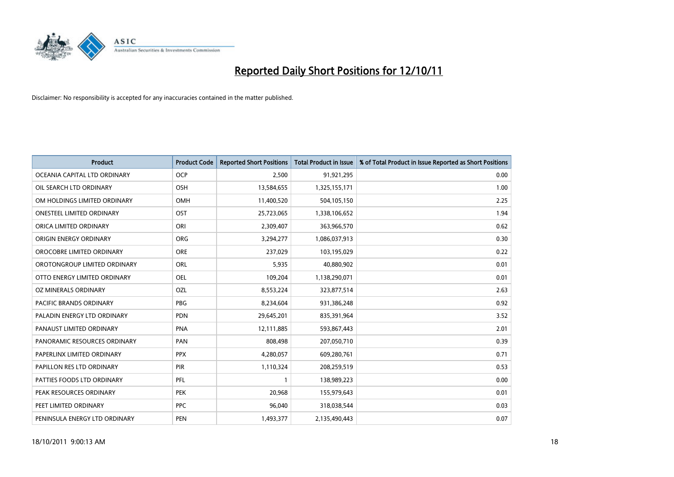

| <b>Product</b>                 | <b>Product Code</b> | <b>Reported Short Positions</b> | <b>Total Product in Issue</b> | % of Total Product in Issue Reported as Short Positions |
|--------------------------------|---------------------|---------------------------------|-------------------------------|---------------------------------------------------------|
| OCEANIA CAPITAL LTD ORDINARY   | <b>OCP</b>          | 2,500                           | 91,921,295                    | 0.00                                                    |
| OIL SEARCH LTD ORDINARY        | <b>OSH</b>          | 13,584,655                      | 1,325,155,171                 | 1.00                                                    |
| OM HOLDINGS LIMITED ORDINARY   | <b>OMH</b>          | 11,400,520                      | 504,105,150                   | 2.25                                                    |
| ONESTEEL LIMITED ORDINARY      | OST                 | 25,723,065                      | 1,338,106,652                 | 1.94                                                    |
| ORICA LIMITED ORDINARY         | ORI                 | 2,309,407                       | 363,966,570                   | 0.62                                                    |
| ORIGIN ENERGY ORDINARY         | <b>ORG</b>          | 3,294,277                       | 1,086,037,913                 | 0.30                                                    |
| OROCOBRE LIMITED ORDINARY      | <b>ORE</b>          | 237,029                         | 103,195,029                   | 0.22                                                    |
| OROTONGROUP LIMITED ORDINARY   | <b>ORL</b>          | 5,935                           | 40,880,902                    | 0.01                                                    |
| OTTO ENERGY LIMITED ORDINARY   | OEL                 | 109,204                         | 1,138,290,071                 | 0.01                                                    |
| OZ MINERALS ORDINARY           | OZL                 | 8,553,224                       | 323,877,514                   | 2.63                                                    |
| <b>PACIFIC BRANDS ORDINARY</b> | <b>PBG</b>          | 8,234,604                       | 931,386,248                   | 0.92                                                    |
| PALADIN ENERGY LTD ORDINARY    | <b>PDN</b>          | 29,645,201                      | 835,391,964                   | 3.52                                                    |
| PANAUST LIMITED ORDINARY       | <b>PNA</b>          | 12,111,885                      | 593,867,443                   | 2.01                                                    |
| PANORAMIC RESOURCES ORDINARY   | PAN                 | 808,498                         | 207,050,710                   | 0.39                                                    |
| PAPERLINX LIMITED ORDINARY     | <b>PPX</b>          | 4,280,057                       | 609,280,761                   | 0.71                                                    |
| PAPILLON RES LTD ORDINARY      | PIR                 | 1,110,324                       | 208,259,519                   | 0.53                                                    |
| PATTIES FOODS LTD ORDINARY     | PFL                 |                                 | 138,989,223                   | 0.00                                                    |
| PEAK RESOURCES ORDINARY        | <b>PEK</b>          | 20,968                          | 155,979,643                   | 0.01                                                    |
| PEET LIMITED ORDINARY          | <b>PPC</b>          | 96,040                          | 318,038,544                   | 0.03                                                    |
| PENINSULA ENERGY LTD ORDINARY  | <b>PEN</b>          | 1,493,377                       | 2,135,490,443                 | 0.07                                                    |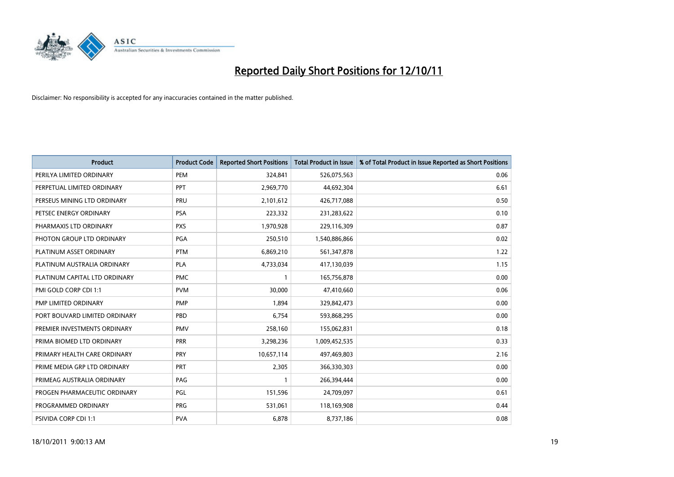

| <b>Product</b>                | <b>Product Code</b> | <b>Reported Short Positions</b> | <b>Total Product in Issue</b> | % of Total Product in Issue Reported as Short Positions |
|-------------------------------|---------------------|---------------------------------|-------------------------------|---------------------------------------------------------|
| PERILYA LIMITED ORDINARY      | PEM                 | 324,841                         | 526,075,563                   | 0.06                                                    |
| PERPETUAL LIMITED ORDINARY    | <b>PPT</b>          | 2,969,770                       | 44,692,304                    | 6.61                                                    |
| PERSEUS MINING LTD ORDINARY   | PRU                 | 2,101,612                       | 426,717,088                   | 0.50                                                    |
| PETSEC ENERGY ORDINARY        | <b>PSA</b>          | 223,332                         | 231,283,622                   | 0.10                                                    |
| PHARMAXIS LTD ORDINARY        | <b>PXS</b>          | 1,970,928                       | 229,116,309                   | 0.87                                                    |
| PHOTON GROUP LTD ORDINARY     | PGA                 | 250,510                         | 1,540,886,866                 | 0.02                                                    |
| PLATINUM ASSET ORDINARY       | <b>PTM</b>          | 6,869,210                       | 561,347,878                   | 1.22                                                    |
| PLATINUM AUSTRALIA ORDINARY   | <b>PLA</b>          | 4,733,034                       | 417,130,039                   | 1.15                                                    |
| PLATINUM CAPITAL LTD ORDINARY | <b>PMC</b>          |                                 | 165,756,878                   | 0.00                                                    |
| PMI GOLD CORP CDI 1:1         | <b>PVM</b>          | 30,000                          | 47,410,660                    | 0.06                                                    |
| PMP LIMITED ORDINARY          | <b>PMP</b>          | 1,894                           | 329,842,473                   | 0.00                                                    |
| PORT BOUVARD LIMITED ORDINARY | PBD                 | 6,754                           | 593,868,295                   | 0.00                                                    |
| PREMIER INVESTMENTS ORDINARY  | <b>PMV</b>          | 258,160                         | 155,062,831                   | 0.18                                                    |
| PRIMA BIOMED LTD ORDINARY     | PRR                 | 3,298,236                       | 1,009,452,535                 | 0.33                                                    |
| PRIMARY HEALTH CARE ORDINARY  | <b>PRY</b>          | 10,657,114                      | 497,469,803                   | 2.16                                                    |
| PRIME MEDIA GRP LTD ORDINARY  | <b>PRT</b>          | 2,305                           | 366,330,303                   | 0.00                                                    |
| PRIMEAG AUSTRALIA ORDINARY    | PAG                 |                                 | 266,394,444                   | 0.00                                                    |
| PROGEN PHARMACEUTIC ORDINARY  | PGL                 | 151,596                         | 24,709,097                    | 0.61                                                    |
| PROGRAMMED ORDINARY           | <b>PRG</b>          | 531,061                         | 118,169,908                   | 0.44                                                    |
| PSIVIDA CORP CDI 1:1          | <b>PVA</b>          | 6,878                           | 8,737,186                     | 0.08                                                    |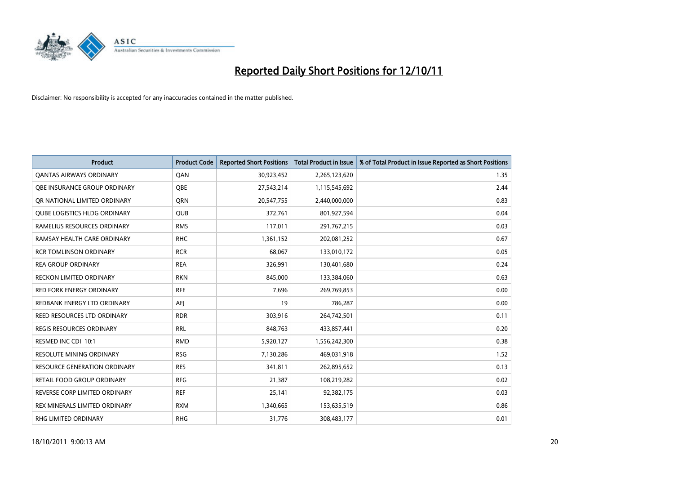

| <b>Product</b>                      | <b>Product Code</b> | <b>Reported Short Positions</b> | <b>Total Product in Issue</b> | % of Total Product in Issue Reported as Short Positions |
|-------------------------------------|---------------------|---------------------------------|-------------------------------|---------------------------------------------------------|
| <b>QANTAS AIRWAYS ORDINARY</b>      | QAN                 | 30,923,452                      | 2,265,123,620                 | 1.35                                                    |
| OBE INSURANCE GROUP ORDINARY        | <b>OBE</b>          | 27,543,214                      | 1,115,545,692                 | 2.44                                                    |
| OR NATIONAL LIMITED ORDINARY        | <b>ORN</b>          | 20,547,755                      | 2,440,000,000                 | 0.83                                                    |
| <b>QUBE LOGISTICS HLDG ORDINARY</b> | <b>OUB</b>          | 372,761                         | 801,927,594                   | 0.04                                                    |
| RAMELIUS RESOURCES ORDINARY         | <b>RMS</b>          | 117,011                         | 291,767,215                   | 0.03                                                    |
| RAMSAY HEALTH CARE ORDINARY         | <b>RHC</b>          | 1,361,152                       | 202,081,252                   | 0.67                                                    |
| <b>RCR TOMLINSON ORDINARY</b>       | <b>RCR</b>          | 68,067                          | 133,010,172                   | 0.05                                                    |
| <b>REA GROUP ORDINARY</b>           | <b>REA</b>          | 326,991                         | 130,401,680                   | 0.24                                                    |
| <b>RECKON LIMITED ORDINARY</b>      | <b>RKN</b>          | 845,000                         | 133,384,060                   | 0.63                                                    |
| <b>RED FORK ENERGY ORDINARY</b>     | <b>RFE</b>          | 7,696                           | 269,769,853                   | 0.00                                                    |
| REDBANK ENERGY LTD ORDINARY         | AEJ                 | 19                              | 786,287                       | 0.00                                                    |
| REED RESOURCES LTD ORDINARY         | <b>RDR</b>          | 303,916                         | 264,742,501                   | 0.11                                                    |
| <b>REGIS RESOURCES ORDINARY</b>     | <b>RRL</b>          | 848,763                         | 433,857,441                   | 0.20                                                    |
| RESMED INC CDI 10:1                 | <b>RMD</b>          | 5,920,127                       | 1,556,242,300                 | 0.38                                                    |
| <b>RESOLUTE MINING ORDINARY</b>     | <b>RSG</b>          | 7,130,286                       | 469,031,918                   | 1.52                                                    |
| <b>RESOURCE GENERATION ORDINARY</b> | <b>RES</b>          | 341,811                         | 262,895,652                   | 0.13                                                    |
| RETAIL FOOD GROUP ORDINARY          | <b>RFG</b>          | 21,387                          | 108,219,282                   | 0.02                                                    |
| REVERSE CORP LIMITED ORDINARY       | <b>REF</b>          | 25,141                          | 92,382,175                    | 0.03                                                    |
| REX MINERALS LIMITED ORDINARY       | <b>RXM</b>          | 1,340,665                       | 153,635,519                   | 0.86                                                    |
| RHG LIMITED ORDINARY                | <b>RHG</b>          | 31,776                          | 308,483,177                   | 0.01                                                    |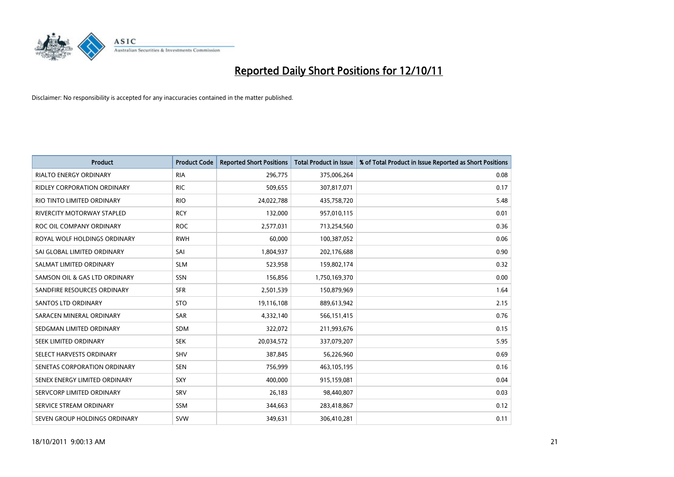

| <b>Product</b>                     | <b>Product Code</b> | <b>Reported Short Positions</b> | <b>Total Product in Issue</b> | % of Total Product in Issue Reported as Short Positions |
|------------------------------------|---------------------|---------------------------------|-------------------------------|---------------------------------------------------------|
| <b>RIALTO ENERGY ORDINARY</b>      | <b>RIA</b>          | 296,775                         | 375,006,264                   | 0.08                                                    |
| <b>RIDLEY CORPORATION ORDINARY</b> | <b>RIC</b>          | 509,655                         | 307,817,071                   | 0.17                                                    |
| RIO TINTO LIMITED ORDINARY         | <b>RIO</b>          | 24,022,788                      | 435,758,720                   | 5.48                                                    |
| RIVERCITY MOTORWAY STAPLED         | <b>RCY</b>          | 132,000                         | 957,010,115                   | 0.01                                                    |
| ROC OIL COMPANY ORDINARY           | <b>ROC</b>          | 2,577,031                       | 713,254,560                   | 0.36                                                    |
| ROYAL WOLF HOLDINGS ORDINARY       | <b>RWH</b>          | 60,000                          | 100,387,052                   | 0.06                                                    |
| SAI GLOBAL LIMITED ORDINARY        | SAI                 | 1,804,937                       | 202,176,688                   | 0.90                                                    |
| SALMAT LIMITED ORDINARY            | <b>SLM</b>          | 523,958                         | 159,802,174                   | 0.32                                                    |
| SAMSON OIL & GAS LTD ORDINARY      | SSN                 | 156,856                         | 1,750,169,370                 | 0.00                                                    |
| SANDFIRE RESOURCES ORDINARY        | <b>SFR</b>          | 2,501,539                       | 150,879,969                   | 1.64                                                    |
| <b>SANTOS LTD ORDINARY</b>         | <b>STO</b>          | 19,116,108                      | 889,613,942                   | 2.15                                                    |
| SARACEN MINERAL ORDINARY           | SAR                 | 4,332,140                       | 566,151,415                   | 0.76                                                    |
| SEDGMAN LIMITED ORDINARY           | <b>SDM</b>          | 322,072                         | 211,993,676                   | 0.15                                                    |
| SEEK LIMITED ORDINARY              | <b>SEK</b>          | 20,034,572                      | 337,079,207                   | 5.95                                                    |
| SELECT HARVESTS ORDINARY           | SHV                 | 387,845                         | 56,226,960                    | 0.69                                                    |
| SENETAS CORPORATION ORDINARY       | <b>SEN</b>          | 756,999                         | 463,105,195                   | 0.16                                                    |
| SENEX ENERGY LIMITED ORDINARY      | SXY                 | 400,000                         | 915,159,081                   | 0.04                                                    |
| SERVCORP LIMITED ORDINARY          | SRV                 | 26,183                          | 98,440,807                    | 0.03                                                    |
| SERVICE STREAM ORDINARY            | <b>SSM</b>          | 344,663                         | 283,418,867                   | 0.12                                                    |
| SEVEN GROUP HOLDINGS ORDINARY      | <b>SVW</b>          | 349.631                         | 306,410,281                   | 0.11                                                    |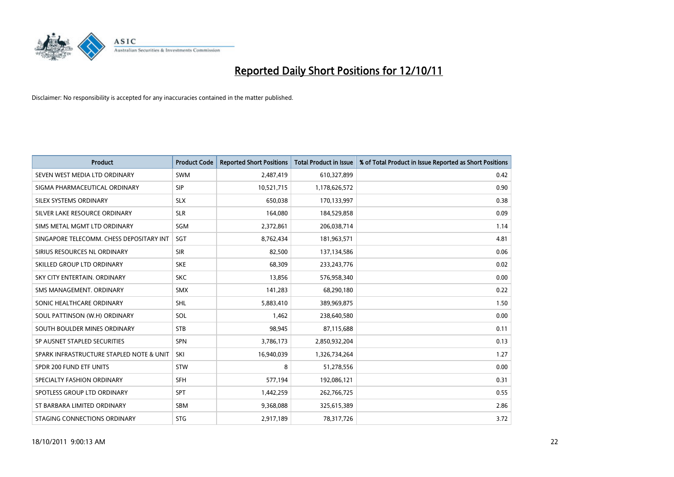

| <b>Product</b>                           | <b>Product Code</b> | <b>Reported Short Positions</b> | <b>Total Product in Issue</b> | % of Total Product in Issue Reported as Short Positions |
|------------------------------------------|---------------------|---------------------------------|-------------------------------|---------------------------------------------------------|
| SEVEN WEST MEDIA LTD ORDINARY            | <b>SWM</b>          | 2,487,419                       | 610,327,899                   | 0.42                                                    |
| SIGMA PHARMACEUTICAL ORDINARY            | <b>SIP</b>          | 10,521,715                      | 1,178,626,572                 | 0.90                                                    |
| <b>SILEX SYSTEMS ORDINARY</b>            | <b>SLX</b>          | 650,038                         | 170,133,997                   | 0.38                                                    |
| SILVER LAKE RESOURCE ORDINARY            | <b>SLR</b>          | 164,080                         | 184,529,858                   | 0.09                                                    |
| SIMS METAL MGMT LTD ORDINARY             | SGM                 | 2,372,861                       | 206,038,714                   | 1.14                                                    |
| SINGAPORE TELECOMM. CHESS DEPOSITARY INT | SGT                 | 8,762,434                       | 181,963,571                   | 4.81                                                    |
| SIRIUS RESOURCES NL ORDINARY             | <b>SIR</b>          | 82,500                          | 137,134,586                   | 0.06                                                    |
| SKILLED GROUP LTD ORDINARY               | <b>SKE</b>          | 68,309                          | 233, 243, 776                 | 0.02                                                    |
| SKY CITY ENTERTAIN, ORDINARY             | <b>SKC</b>          | 13,856                          | 576,958,340                   | 0.00                                                    |
| SMS MANAGEMENT, ORDINARY                 | <b>SMX</b>          | 141,283                         | 68,290,180                    | 0.22                                                    |
| SONIC HEALTHCARE ORDINARY                | <b>SHL</b>          | 5,883,410                       | 389,969,875                   | 1.50                                                    |
| SOUL PATTINSON (W.H) ORDINARY            | SOL                 | 1,462                           | 238,640,580                   | 0.00                                                    |
| SOUTH BOULDER MINES ORDINARY             | <b>STB</b>          | 98,945                          | 87,115,688                    | 0.11                                                    |
| SP AUSNET STAPLED SECURITIES             | SPN                 | 3,786,173                       | 2,850,932,204                 | 0.13                                                    |
| SPARK INFRASTRUCTURE STAPLED NOTE & UNIT | SKI                 | 16,940,039                      | 1,326,734,264                 | 1.27                                                    |
| SPDR 200 FUND ETF UNITS                  | <b>STW</b>          | 8                               | 51,278,556                    | 0.00                                                    |
| SPECIALTY FASHION ORDINARY               | <b>SFH</b>          | 577,194                         | 192,086,121                   | 0.31                                                    |
| SPOTLESS GROUP LTD ORDINARY              | <b>SPT</b>          | 1,442,259                       | 262,766,725                   | 0.55                                                    |
| ST BARBARA LIMITED ORDINARY              | <b>SBM</b>          | 9,368,088                       | 325,615,389                   | 2.86                                                    |
| STAGING CONNECTIONS ORDINARY             | <b>STG</b>          | 2,917,189                       | 78,317,726                    | 3.72                                                    |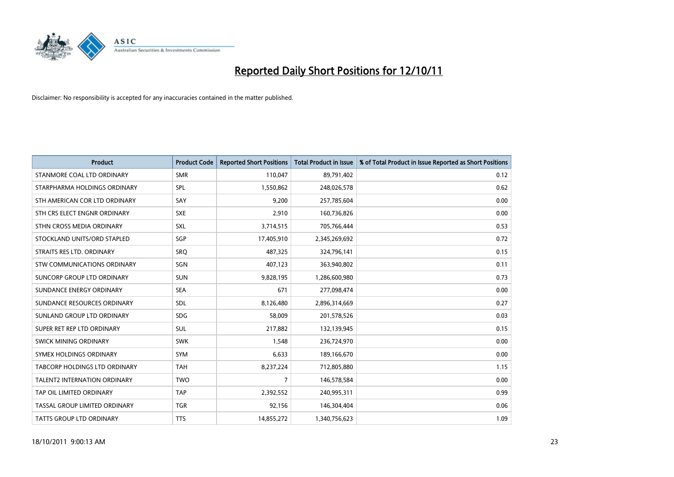

| <b>Product</b>                      | <b>Product Code</b> | <b>Reported Short Positions</b> | <b>Total Product in Issue</b> | % of Total Product in Issue Reported as Short Positions |
|-------------------------------------|---------------------|---------------------------------|-------------------------------|---------------------------------------------------------|
| STANMORE COAL LTD ORDINARY          | <b>SMR</b>          | 110,047                         | 89,791,402                    | 0.12                                                    |
| STARPHARMA HOLDINGS ORDINARY        | SPL                 | 1,550,862                       | 248,026,578                   | 0.62                                                    |
| STH AMERICAN COR LTD ORDINARY       | SAY                 | 9,200                           | 257,785,604                   | 0.00                                                    |
| STH CRS ELECT ENGNR ORDINARY        | <b>SXE</b>          | 2,910                           | 160,736,826                   | 0.00                                                    |
| STHN CROSS MEDIA ORDINARY           | <b>SXL</b>          | 3,714,515                       | 705,766,444                   | 0.53                                                    |
| STOCKLAND UNITS/ORD STAPLED         | SGP                 | 17,405,910                      | 2,345,269,692                 | 0.72                                                    |
| STRAITS RES LTD. ORDINARY           | SRO                 | 487.325                         | 324,796,141                   | 0.15                                                    |
| STW COMMUNICATIONS ORDINARY         | SGN                 | 407,123                         | 363,940,802                   | 0.11                                                    |
| SUNCORP GROUP LTD ORDINARY          | <b>SUN</b>          | 9,828,195                       | 1,286,600,980                 | 0.73                                                    |
| SUNDANCE ENERGY ORDINARY            | <b>SEA</b>          | 671                             | 277,098,474                   | 0.00                                                    |
| SUNDANCE RESOURCES ORDINARY         | <b>SDL</b>          | 8,126,480                       | 2,896,314,669                 | 0.27                                                    |
| SUNLAND GROUP LTD ORDINARY          | <b>SDG</b>          | 58,009                          | 201,578,526                   | 0.03                                                    |
| SUPER RET REP LTD ORDINARY          | <b>SUL</b>          | 217,882                         | 132,139,945                   | 0.15                                                    |
| SWICK MINING ORDINARY               | <b>SWK</b>          | 1,548                           | 236,724,970                   | 0.00                                                    |
| SYMEX HOLDINGS ORDINARY             | <b>SYM</b>          | 6,633                           | 189,166,670                   | 0.00                                                    |
| TABCORP HOLDINGS LTD ORDINARY       | <b>TAH</b>          | 8,237,224                       | 712,805,880                   | 1.15                                                    |
| <b>TALENT2 INTERNATION ORDINARY</b> | <b>TWO</b>          | 7                               | 146,578,584                   | 0.00                                                    |
| TAP OIL LIMITED ORDINARY            | <b>TAP</b>          | 2,392,552                       | 240,995,311                   | 0.99                                                    |
| TASSAL GROUP LIMITED ORDINARY       | <b>TGR</b>          | 92,156                          | 146,304,404                   | 0.06                                                    |
| <b>TATTS GROUP LTD ORDINARY</b>     | <b>TTS</b>          | 14,855,272                      | 1,340,756,623                 | 1.09                                                    |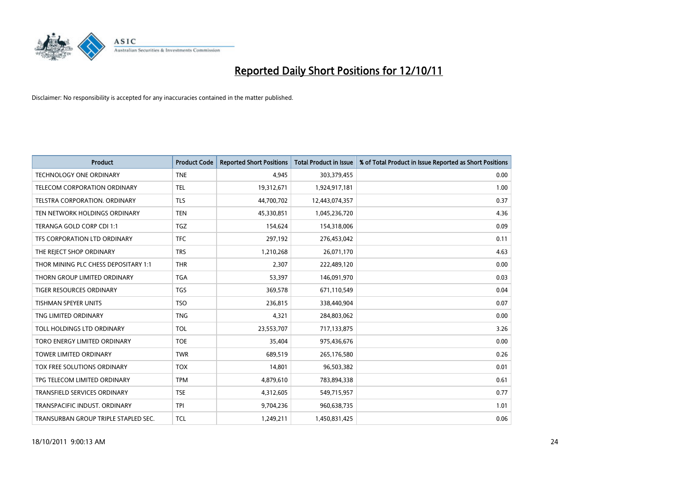

| <b>Product</b>                       | <b>Product Code</b> | <b>Reported Short Positions</b> | <b>Total Product in Issue</b> | % of Total Product in Issue Reported as Short Positions |
|--------------------------------------|---------------------|---------------------------------|-------------------------------|---------------------------------------------------------|
| <b>TECHNOLOGY ONE ORDINARY</b>       | <b>TNE</b>          | 4,945                           | 303,379,455                   | 0.00                                                    |
| TELECOM CORPORATION ORDINARY         | <b>TEL</b>          | 19,312,671                      | 1,924,917,181                 | 1.00                                                    |
| TELSTRA CORPORATION, ORDINARY        | <b>TLS</b>          | 44,700,702                      | 12,443,074,357                | 0.37                                                    |
| TEN NETWORK HOLDINGS ORDINARY        | <b>TEN</b>          | 45,330,851                      | 1,045,236,720                 | 4.36                                                    |
| TERANGA GOLD CORP CDI 1:1            | <b>TGZ</b>          | 154,624                         | 154,318,006                   | 0.09                                                    |
| TFS CORPORATION LTD ORDINARY         | <b>TFC</b>          | 297,192                         | 276,453,042                   | 0.11                                                    |
| THE REJECT SHOP ORDINARY             | <b>TRS</b>          | 1,210,268                       | 26,071,170                    | 4.63                                                    |
| THOR MINING PLC CHESS DEPOSITARY 1:1 | <b>THR</b>          | 2,307                           | 222,489,120                   | 0.00                                                    |
| THORN GROUP LIMITED ORDINARY         | <b>TGA</b>          | 53,397                          | 146,091,970                   | 0.03                                                    |
| <b>TIGER RESOURCES ORDINARY</b>      | <b>TGS</b>          | 369,578                         | 671,110,549                   | 0.04                                                    |
| TISHMAN SPEYER UNITS                 | <b>TSO</b>          | 236,815                         | 338,440,904                   | 0.07                                                    |
| TNG LIMITED ORDINARY                 | <b>TNG</b>          | 4,321                           | 284,803,062                   | 0.00                                                    |
| TOLL HOLDINGS LTD ORDINARY           | <b>TOL</b>          | 23,553,707                      | 717,133,875                   | 3.26                                                    |
| TORO ENERGY LIMITED ORDINARY         | <b>TOE</b>          | 35,404                          | 975,436,676                   | 0.00                                                    |
| <b>TOWER LIMITED ORDINARY</b>        | <b>TWR</b>          | 689,519                         | 265,176,580                   | 0.26                                                    |
| TOX FREE SOLUTIONS ORDINARY          | <b>TOX</b>          | 14,801                          | 96,503,382                    | 0.01                                                    |
| TPG TELECOM LIMITED ORDINARY         | <b>TPM</b>          | 4,879,610                       | 783,894,338                   | 0.61                                                    |
| TRANSFIELD SERVICES ORDINARY         | <b>TSE</b>          | 4,312,605                       | 549,715,957                   | 0.77                                                    |
| TRANSPACIFIC INDUST, ORDINARY        | <b>TPI</b>          | 9,704,236                       | 960,638,735                   | 1.01                                                    |
| TRANSURBAN GROUP TRIPLE STAPLED SEC. | <b>TCL</b>          | 1.249.211                       | 1,450,831,425                 | 0.06                                                    |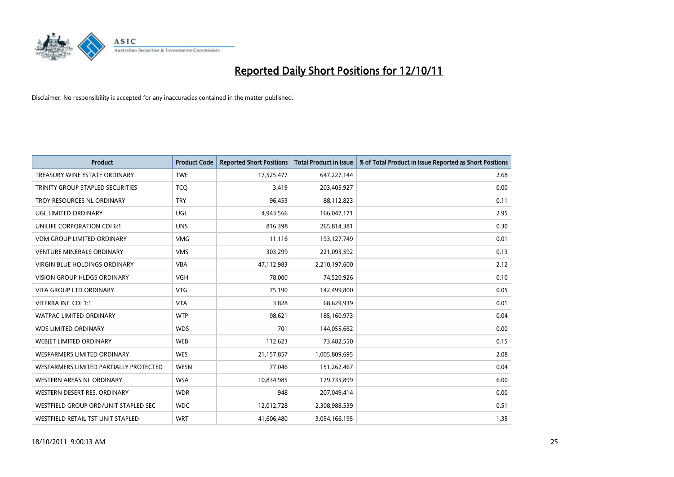

| <b>Product</b>                         | <b>Product Code</b> | <b>Reported Short Positions</b> | <b>Total Product in Issue</b> | % of Total Product in Issue Reported as Short Positions |
|----------------------------------------|---------------------|---------------------------------|-------------------------------|---------------------------------------------------------|
| TREASURY WINE ESTATE ORDINARY          | <b>TWE</b>          | 17,525,477                      | 647,227,144                   | 2.68                                                    |
| TRINITY GROUP STAPLED SECURITIES       | <b>TCQ</b>          | 3,419                           | 203,405,927                   | 0.00                                                    |
| TROY RESOURCES NL ORDINARY             | <b>TRY</b>          | 96,453                          | 88,112,823                    | 0.11                                                    |
| UGL LIMITED ORDINARY                   | UGL                 | 4,943,566                       | 166,047,171                   | 2.95                                                    |
| UNILIFE CORPORATION CDI 6:1            | <b>UNS</b>          | 816,398                         | 265,814,381                   | 0.30                                                    |
| <b>VDM GROUP LIMITED ORDINARY</b>      | <b>VMG</b>          | 11,116                          | 193,127,749                   | 0.01                                                    |
| <b>VENTURE MINERALS ORDINARY</b>       | <b>VMS</b>          | 303,299                         | 221,093,592                   | 0.13                                                    |
| VIRGIN BLUE HOLDINGS ORDINARY          | <b>VBA</b>          | 47,112,983                      | 2,210,197,600                 | 2.12                                                    |
| <b>VISION GROUP HLDGS ORDINARY</b>     | <b>VGH</b>          | 78,000                          | 74,520,926                    | 0.10                                                    |
| <b>VITA GROUP LTD ORDINARY</b>         | <b>VTG</b>          | 75,190                          | 142,499,800                   | 0.05                                                    |
| VITERRA INC CDI 1:1                    | <b>VTA</b>          | 3,828                           | 68,629,939                    | 0.01                                                    |
| <b>WATPAC LIMITED ORDINARY</b>         | <b>WTP</b>          | 98,621                          | 185,160,973                   | 0.04                                                    |
| <b>WDS LIMITED ORDINARY</b>            | <b>WDS</b>          | 701                             | 144,055,662                   | 0.00                                                    |
| WEBIET LIMITED ORDINARY                | <b>WEB</b>          | 112,623                         | 73,482,550                    | 0.15                                                    |
| <b>WESFARMERS LIMITED ORDINARY</b>     | <b>WES</b>          | 21,157,857                      | 1,005,809,695                 | 2.08                                                    |
| WESFARMERS LIMITED PARTIALLY PROTECTED | <b>WESN</b>         | 77,046                          | 151,262,467                   | 0.04                                                    |
| <b>WESTERN AREAS NL ORDINARY</b>       | <b>WSA</b>          | 10,834,985                      | 179,735,899                   | 6.00                                                    |
| WESTERN DESERT RES. ORDINARY           | <b>WDR</b>          | 948                             | 207,049,414                   | 0.00                                                    |
| WESTFIELD GROUP ORD/UNIT STAPLED SEC   | <b>WDC</b>          | 12,012,728                      | 2,308,988,539                 | 0.51                                                    |
| WESTFIELD RETAIL TST UNIT STAPLED      | <b>WRT</b>          | 41,606,480                      | 3,054,166,195                 | 1.35                                                    |